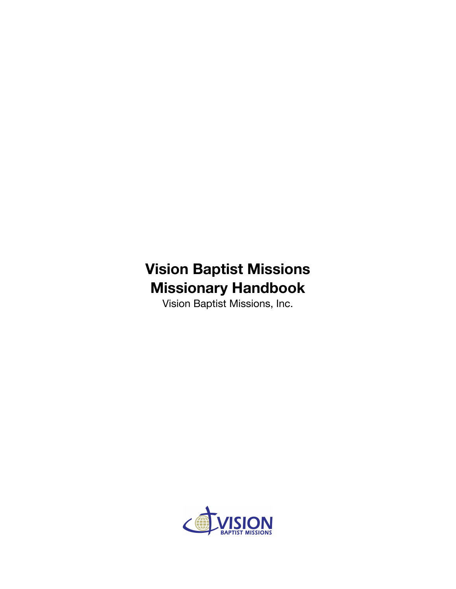# **Vision Baptist Missions Missionary Handbook**

Vision Baptist Missions, Inc.

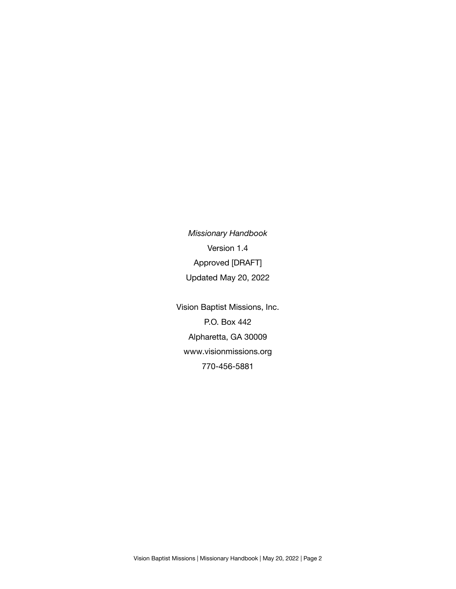*Missionary Handbook* Version 1.4 Approved [DRAFT] Updated May 20, 2022

Vision Baptist Missions, Inc. P.O. Box 442 Alpharetta, GA 30009 www.visionmissions.org 770-456-5881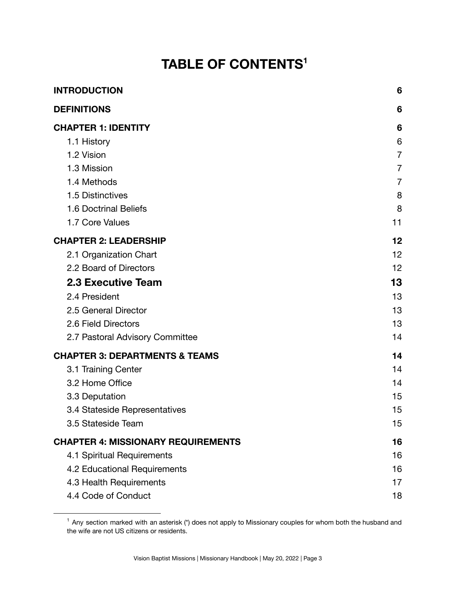# **TABLE OF CONTENTS 1**

| <b>INTRODUCTION</b>                       | 6              |
|-------------------------------------------|----------------|
| <b>DEFINITIONS</b>                        | 6              |
| <b>CHAPTER 1: IDENTITY</b>                | 6              |
| 1.1 History                               | 6              |
| 1.2 Vision                                | $\overline{7}$ |
| 1.3 Mission                               | 7              |
| 1.4 Methods                               | $\overline{7}$ |
| 1.5 Distinctives                          | 8              |
| 1.6 Doctrinal Beliefs                     | 8              |
| 1.7 Core Values                           | 11             |
| <b>CHAPTER 2: LEADERSHIP</b>              | 12             |
| 2.1 Organization Chart                    | 12             |
| 2.2 Board of Directors                    | 12             |
| <b>2.3 Executive Team</b>                 | 13             |
| 2.4 President                             | 13             |
| 2.5 General Director                      | 13             |
| 2.6 Field Directors                       | 13             |
| 2.7 Pastoral Advisory Committee           | 14             |
| <b>CHAPTER 3: DEPARTMENTS &amp; TEAMS</b> | 14             |
| 3.1 Training Center                       | 14             |
| 3.2 Home Office                           | 14             |
| 3.3 Deputation                            | 15             |
| 3.4 Stateside Representatives             | 15             |
| 3.5 Stateside Team                        | 15             |
| <b>CHAPTER 4: MISSIONARY REQUIREMENTS</b> | 16             |
| 4.1 Spiritual Requirements                | 16             |
| 4.2 Educational Requirements              | 16             |
| 4.3 Health Requirements                   | 17             |
| 4.4 Code of Conduct                       | 18             |

 $1$  Any section marked with an asterisk (\*) does not apply to Missionary couples for whom both the husband and the wife are not US citizens or residents.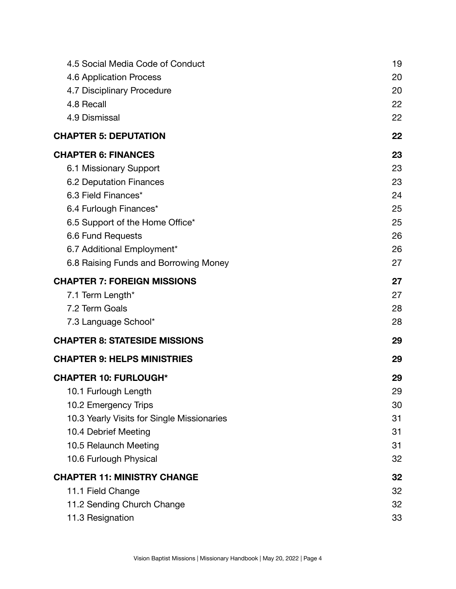| 4.5 Social Media Code of Conduct           | 19 |
|--------------------------------------------|----|
| 4.6 Application Process                    | 20 |
| 4.7 Disciplinary Procedure                 | 20 |
| 4.8 Recall                                 | 22 |
| 4.9 Dismissal                              | 22 |
| <b>CHAPTER 5: DEPUTATION</b>               | 22 |
| <b>CHAPTER 6: FINANCES</b>                 | 23 |
| 6.1 Missionary Support                     | 23 |
| 6.2 Deputation Finances                    | 23 |
| 6.3 Field Finances*                        | 24 |
| 6.4 Furlough Finances*                     | 25 |
| 6.5 Support of the Home Office*            | 25 |
| 6.6 Fund Requests                          | 26 |
| 6.7 Additional Employment*                 | 26 |
| 6.8 Raising Funds and Borrowing Money      | 27 |
| <b>CHAPTER 7: FOREIGN MISSIONS</b>         | 27 |
| 7.1 Term Length*                           | 27 |
| 7.2 Term Goals                             | 28 |
| 7.3 Language School*                       | 28 |
| <b>CHAPTER 8: STATESIDE MISSIONS</b>       | 29 |
| <b>CHAPTER 9: HELPS MINISTRIES</b>         | 29 |
| <b>CHAPTER 10: FURLOUGH*</b>               | 29 |
| 10.1 Furlough Length                       | 29 |
| 10.2 Emergency Trips                       | 30 |
| 10.3 Yearly Visits for Single Missionaries | 31 |
| 10.4 Debrief Meeting                       | 31 |
| 10.5 Relaunch Meeting                      | 31 |
| 10.6 Furlough Physical                     | 32 |
| <b>CHAPTER 11: MINISTRY CHANGE</b>         | 32 |
| 11.1 Field Change                          | 32 |
| 11.2 Sending Church Change                 | 32 |
| 11.3 Resignation                           | 33 |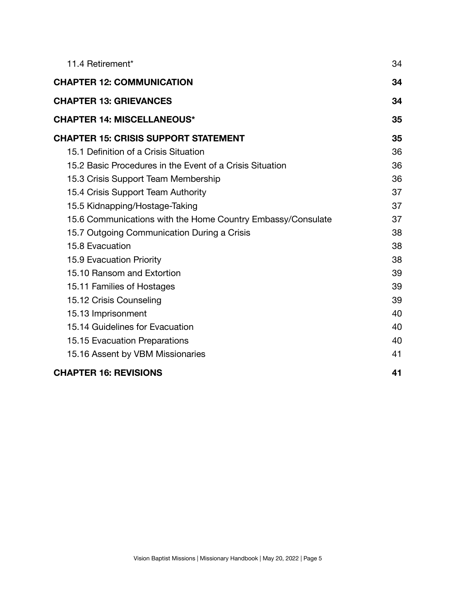| 11.4 Retirement*                                            | 34 |
|-------------------------------------------------------------|----|
| <b>CHAPTER 12: COMMUNICATION</b>                            | 34 |
| <b>CHAPTER 13: GRIEVANCES</b>                               | 34 |
| <b>CHAPTER 14: MISCELLANEOUS*</b>                           | 35 |
| <b>CHAPTER 15: CRISIS SUPPORT STATEMENT</b>                 | 35 |
| 15.1 Definition of a Crisis Situation                       | 36 |
| 15.2 Basic Procedures in the Event of a Crisis Situation    | 36 |
| 15.3 Crisis Support Team Membership                         | 36 |
| 15.4 Crisis Support Team Authority                          | 37 |
| 15.5 Kidnapping/Hostage-Taking                              | 37 |
| 15.6 Communications with the Home Country Embassy/Consulate | 37 |
| 15.7 Outgoing Communication During a Crisis                 | 38 |
| 15.8 Evacuation                                             | 38 |
| 15.9 Evacuation Priority                                    | 38 |
| 15.10 Ransom and Extortion                                  | 39 |
| 15.11 Families of Hostages                                  | 39 |
| 15.12 Crisis Counseling                                     | 39 |
| 15.13 Imprisonment                                          | 40 |
| 15.14 Guidelines for Evacuation                             | 40 |
| 15.15 Evacuation Preparations                               | 40 |
| 15.16 Assent by VBM Missionaries                            | 41 |
| <b>CHAPTER 16: REVISIONS</b>                                | 41 |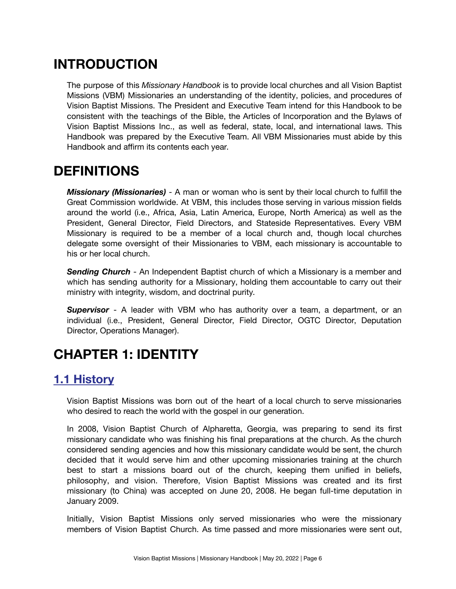# <span id="page-5-0"></span>**INTRODUCTION**

The purpose of this *Missionary Handbook* is to provide local churches and all Vision Baptist Missions (VBM) Missionaries an understanding of the identity, policies, and procedures of Vision Baptist Missions. The President and Executive Team intend for this Handbook to be consistent with the teachings of the Bible, the Articles of Incorporation and the Bylaws of Vision Baptist Missions Inc., as well as federal, state, local, and international laws. This Handbook was prepared by the Executive Team. All VBM Missionaries must abide by this Handbook and affirm its contents each year.

# <span id="page-5-1"></span>**DEFINITIONS**

*Missionary (Missionaries)* - A man or woman who is sent by their local church to fulfill the Great Commission worldwide. At VBM, this includes those serving in various mission fields around the world (i.e., Africa, Asia, Latin America, Europe, North America) as well as the President, General Director, Field Directors, and Stateside Representatives. Every VBM Missionary is required to be a member of a local church and, though local churches delegate some oversight of their Missionaries to VBM, each missionary is accountable to his or her local church.

*Sending Church* - An Independent Baptist church of which a Missionary is a member and which has sending authority for a Missionary, holding them accountable to carry out their ministry with integrity, wisdom, and doctrinal purity.

*Supervisor* - A leader with VBM who has authority over a team, a department, or an individual (i.e., President, General Director, Field Director, OGTC Director, Deputation Director, Operations Manager).

# <span id="page-5-2"></span>**CHAPTER 1: IDENTITY**

## <span id="page-5-3"></span>**1.1 History**

Vision Baptist Missions was born out of the heart of a local church to serve missionaries who desired to reach the world with the gospel in our generation.

In 2008, Vision Baptist Church of Alpharetta, Georgia, was preparing to send its first missionary candidate who was finishing his final preparations at the church. As the church considered sending agencies and how this missionary candidate would be sent, the church decided that it would serve him and other upcoming missionaries training at the church best to start a missions board out of the church, keeping them unified in beliefs, philosophy, and vision. Therefore, Vision Baptist Missions was created and its first missionary (to China) was accepted on June 20, 2008. He began full-time deputation in January 2009.

Initially, Vision Baptist Missions only served missionaries who were the missionary members of Vision Baptist Church. As time passed and more missionaries were sent out,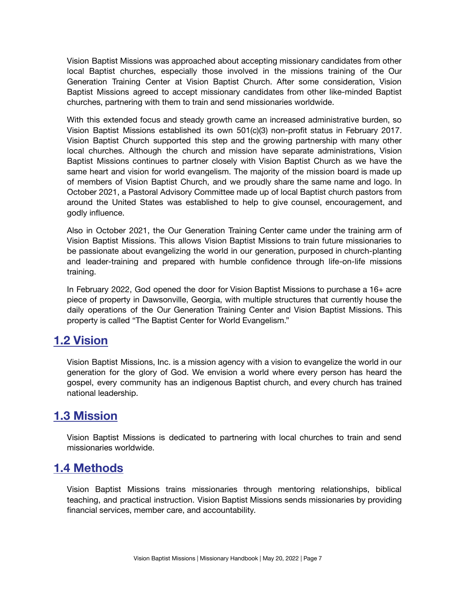Vision Baptist Missions was approached about accepting missionary candidates from other local Baptist churches, especially those involved in the missions training of the Our Generation Training Center at Vision Baptist Church. After some consideration, Vision Baptist Missions agreed to accept missionary candidates from other like-minded Baptist churches, partnering with them to train and send missionaries worldwide.

With this extended focus and steady growth came an increased administrative burden, so Vision Baptist Missions established its own 501(c)(3) non-profit status in February 2017. Vision Baptist Church supported this step and the growing partnership with many other local churches. Although the church and mission have separate administrations, Vision Baptist Missions continues to partner closely with Vision Baptist Church as we have the same heart and vision for world evangelism. The majority of the mission board is made up of members of Vision Baptist Church, and we proudly share the same name and logo. In October 2021, a Pastoral Advisory Committee made up of local Baptist church pastors from around the United States was established to help to give counsel, encouragement, and godly influence.

Also in October 2021, the Our Generation Training Center came under the training arm of Vision Baptist Missions. This allows Vision Baptist Missions to train future missionaries to be passionate about evangelizing the world in our generation, purposed in church-planting and leader-training and prepared with humble confidence through life-on-life missions training.

In February 2022, God opened the door for Vision Baptist Missions to purchase a 16+ acre piece of property in Dawsonville, Georgia, with multiple structures that currently house the daily operations of the Our Generation Training Center and Vision Baptist Missions. This property is called "The Baptist Center for World Evangelism."

#### <span id="page-6-0"></span>**1.2 Vision**

Vision Baptist Missions, Inc. is a mission agency with a vision to evangelize the world in our generation for the glory of God. We envision a world where every person has heard the gospel, every community has an indigenous Baptist church, and every church has trained national leadership.

#### <span id="page-6-1"></span>**1.3 Mission**

Vision Baptist Missions is dedicated to partnering with local churches to train and send missionaries worldwide.

#### <span id="page-6-2"></span>**1.4 Methods**

Vision Baptist Missions trains missionaries through mentoring relationships, biblical teaching, and practical instruction. Vision Baptist Missions sends missionaries by providing financial services, member care, and accountability.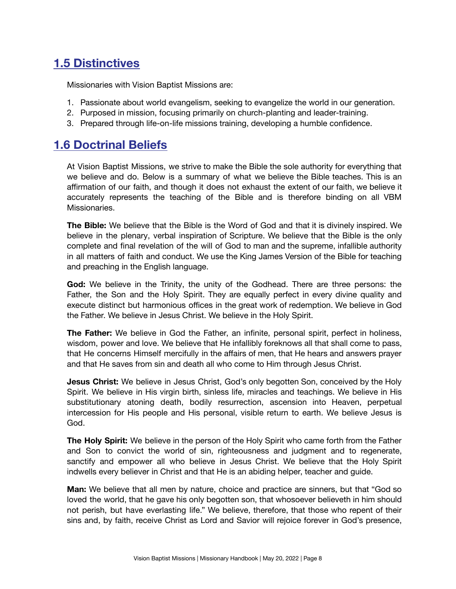# <span id="page-7-0"></span>**1.5 Distinctives**

Missionaries with Vision Baptist Missions are:

- 1. Passionate about world evangelism, seeking to evangelize the world in our generation.
- 2. Purposed in mission, focusing primarily on church-planting and leader-training.
- 3. Prepared through life-on-life missions training, developing a humble confidence.

### <span id="page-7-1"></span>**1.6 Doctrinal Beliefs**

At Vision Baptist Missions, we strive to make the Bible the sole authority for everything that we believe and do. Below is a summary of what we believe the Bible teaches. This is an affirmation of our faith, and though it does not exhaust the extent of our faith, we believe it accurately represents the teaching of the Bible and is therefore binding on all VBM Missionaries.

**The Bible:** We believe that the Bible is the Word of God and that it is divinely inspired. We believe in the plenary, verbal inspiration of Scripture. We believe that the Bible is the only complete and final revelation of the will of God to man and the supreme, infallible authority in all matters of faith and conduct. We use the King James Version of the Bible for teaching and preaching in the English language.

**God:** We believe in the Trinity, the unity of the Godhead. There are three persons: the Father, the Son and the Holy Spirit. They are equally perfect in every divine quality and execute distinct but harmonious offices in the great work of redemption. We believe in God the Father. We believe in Jesus Christ. We believe in the Holy Spirit.

**The Father:** We believe in God the Father, an infinite, personal spirit, perfect in holiness, wisdom, power and love. We believe that He infallibly foreknows all that shall come to pass, that He concerns Himself mercifully in the affairs of men, that He hears and answers prayer and that He saves from sin and death all who come to Him through Jesus Christ.

**Jesus Christ:** We believe in Jesus Christ, God's only begotten Son, conceived by the Holy Spirit. We believe in His virgin birth, sinless life, miracles and teachings. We believe in His substitutionary atoning death, bodily resurrection, ascension into Heaven, perpetual intercession for His people and His personal, visible return to earth. We believe Jesus is God.

**The Holy Spirit:** We believe in the person of the Holy Spirit who came forth from the Father and Son to convict the world of sin, righteousness and judgment and to regenerate, sanctify and empower all who believe in Jesus Christ. We believe that the Holy Spirit indwells every believer in Christ and that He is an abiding helper, teacher and guide.

**Man:** We believe that all men by nature, choice and practice are sinners, but that "God so loved the world, that he gave his only begotten son, that whosoever believeth in him should not perish, but have everlasting life." We believe, therefore, that those who repent of their sins and, by faith, receive Christ as Lord and Savior will rejoice forever in God's presence,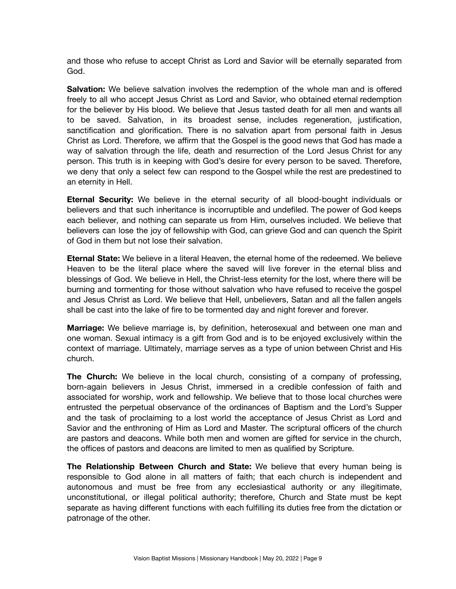and those who refuse to accept Christ as Lord and Savior will be eternally separated from God.

**Salvation:** We believe salvation involves the redemption of the whole man and is offered freely to all who accept Jesus Christ as Lord and Savior, who obtained eternal redemption for the believer by His blood. We believe that Jesus tasted death for all men and wants all to be saved. Salvation, in its broadest sense, includes regeneration, justification, sanctification and glorification. There is no salvation apart from personal faith in Jesus Christ as Lord. Therefore, we affirm that the Gospel is the good news that God has made a way of salvation through the life, death and resurrection of the Lord Jesus Christ for any person. This truth is in keeping with God's desire for every person to be saved. Therefore, we deny that only a select few can respond to the Gospel while the rest are predestined to an eternity in Hell.

**Eternal Security:** We believe in the eternal security of all blood-bought individuals or believers and that such inheritance is incorruptible and undefiled. The power of God keeps each believer, and nothing can separate us from Him, ourselves included. We believe that believers can lose the joy of fellowship with God, can grieve God and can quench the Spirit of God in them but not lose their salvation.

**Eternal State:** We believe in a literal Heaven, the eternal home of the redeemed. We believe Heaven to be the literal place where the saved will live forever in the eternal bliss and blessings of God. We believe in Hell, the Christ-less eternity for the lost, where there will be burning and tormenting for those without salvation who have refused to receive the gospel and Jesus Christ as Lord. We believe that Hell, unbelievers, Satan and all the fallen angels shall be cast into the lake of fire to be tormented day and night forever and forever.

**Marriage:** We believe marriage is, by definition, heterosexual and between one man and one woman. Sexual intimacy is a gift from God and is to be enjoyed exclusively within the context of marriage. Ultimately, marriage serves as a type of union between Christ and His church.

**The Church:** We believe in the local church, consisting of a company of professing, born-again believers in Jesus Christ, immersed in a credible confession of faith and associated for worship, work and fellowship. We believe that to those local churches were entrusted the perpetual observance of the ordinances of Baptism and the Lord's Supper and the task of proclaiming to a lost world the acceptance of Jesus Christ as Lord and Savior and the enthroning of Him as Lord and Master. The scriptural officers of the church are pastors and deacons. While both men and women are gifted for service in the church, the offices of pastors and deacons are limited to men as qualified by Scripture.

**The Relationship Between Church and State:** We believe that every human being is responsible to God alone in all matters of faith; that each church is independent and autonomous and must be free from any ecclesiastical authority or any illegitimate, unconstitutional, or illegal political authority; therefore, Church and State must be kept separate as having different functions with each fulfilling its duties free from the dictation or patronage of the other.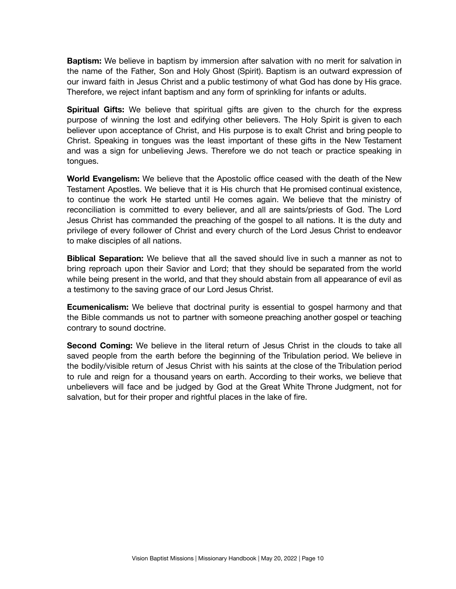**Baptism:** We believe in baptism by immersion after salvation with no merit for salvation in the name of the Father, Son and Holy Ghost (Spirit). Baptism is an outward expression of our inward faith in Jesus Christ and a public testimony of what God has done by His grace. Therefore, we reject infant baptism and any form of sprinkling for infants or adults.

**Spiritual Gifts:** We believe that spiritual gifts are given to the church for the express purpose of winning the lost and edifying other believers. The Holy Spirit is given to each believer upon acceptance of Christ, and His purpose is to exalt Christ and bring people to Christ. Speaking in tongues was the least important of these gifts in the New Testament and was a sign for unbelieving Jews. Therefore we do not teach or practice speaking in tongues.

**World Evangelism:** We believe that the Apostolic office ceased with the death of the New Testament Apostles. We believe that it is His church that He promised continual existence, to continue the work He started until He comes again. We believe that the ministry of reconciliation is committed to every believer, and all are saints/priests of God. The Lord Jesus Christ has commanded the preaching of the gospel to all nations. It is the duty and privilege of every follower of Christ and every church of the Lord Jesus Christ to endeavor to make disciples of all nations.

**Biblical Separation:** We believe that all the saved should live in such a manner as not to bring reproach upon their Savior and Lord; that they should be separated from the world while being present in the world, and that they should abstain from all appearance of evil as a testimony to the saving grace of our Lord Jesus Christ.

**Ecumenicalism:** We believe that doctrinal purity is essential to gospel harmony and that the Bible commands us not to partner with someone preaching another gospel or teaching contrary to sound doctrine.

**Second Coming:** We believe in the literal return of Jesus Christ in the clouds to take all saved people from the earth before the beginning of the Tribulation period. We believe in the bodily/visible return of Jesus Christ with his saints at the close of the Tribulation period to rule and reign for a thousand years on earth. According to their works, we believe that unbelievers will face and be judged by God at the Great White Throne Judgment, not for salvation, but for their proper and rightful places in the lake of fire.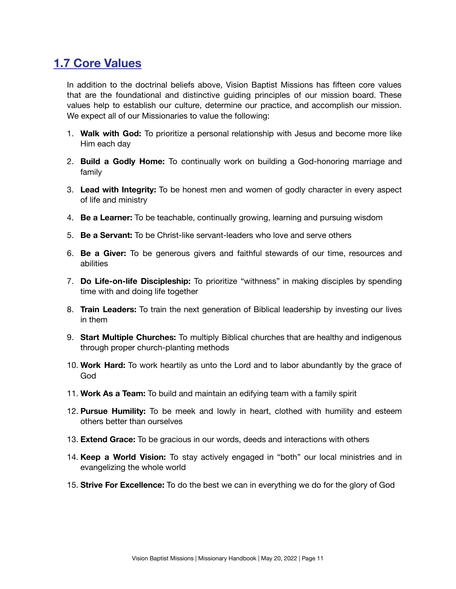## <span id="page-10-0"></span>**1.7 Core Values**

In addition to the doctrinal beliefs above, Vision Baptist Missions has fifteen core values that are the foundational and distinctive guiding principles of our mission board. These values help to establish our culture, determine our practice, and accomplish our mission. We expect all of our Missionaries to value the following:

- 1. **Walk with God:** To prioritize a personal relationship with Jesus and become more like Him each day
- 2. **Build a Godly Home:** To continually work on building a God-honoring marriage and family
- 3. **Lead with Integrity:** To be honest men and women of godly character in every aspect of life and ministry
- 4. **Be a Learner:** To be teachable, continually growing, learning and pursuing wisdom
- 5. **Be a Servant:** To be Christ-like servant-leaders who love and serve others
- 6. **Be a Giver:** To be generous givers and faithful stewards of our time, resources and abilities
- 7. **Do Life-on-life Discipleship:** To prioritize "withness" in making disciples by spending time with and doing life together
- 8. **Train Leaders:** To train the next generation of Biblical leadership by investing our lives in them
- 9. **Start Multiple Churches:** To multiply Biblical churches that are healthy and indigenous through proper church-planting methods
- 10. **Work Hard:** To work heartily as unto the Lord and to labor abundantly by the grace of God
- 11. **Work As a Team:** To build and maintain an edifying team with a family spirit
- 12. **Pursue Humility:** To be meek and lowly in heart, clothed with humility and esteem others better than ourselves
- 13. **Extend Grace:** To be gracious in our words, deeds and interactions with others
- 14. **Keep a World Vision:** To stay actively engaged in "both" our local ministries and in evangelizing the whole world
- 15. **Strive For Excellence:** To do the best we can in everything we do for the glory of God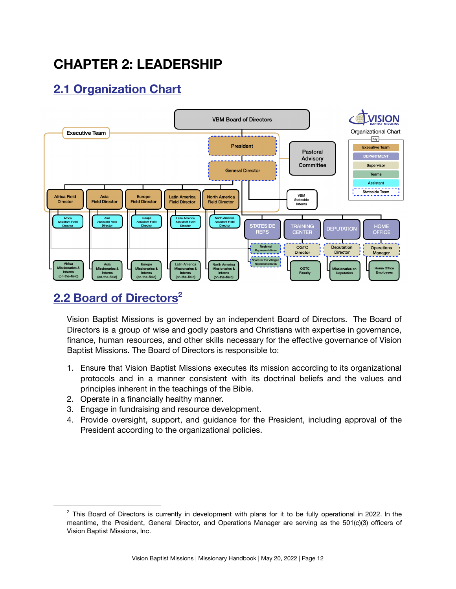# <span id="page-11-0"></span>**CHAPTER 2: LEADERSHIP**

# <span id="page-11-1"></span>**2.1 Organization Chart**

<span id="page-11-2"></span>

# **2.2 Board of Directors 2**

Vision Baptist Missions is governed by an independent Board of Directors. The Board of Directors is a group of wise and godly pastors and Christians with expertise in governance, finance, human resources, and other skills necessary for the effective governance of Vision Baptist Missions. The Board of Directors is responsible to:

- 1. Ensure that Vision Baptist Missions executes its mission according to its organizational protocols and in a manner consistent with its doctrinal beliefs and the values and principles inherent in the teachings of the Bible.
- 2. Operate in a financially healthy manner.
- 3. Engage in fundraising and resource development.
- 4. Provide oversight, support, and guidance for the President, including approval of the President according to the organizational policies.

 $2$  This Board of Directors is currently in development with plans for it to be fully operational in 2022. In the meantime, the President, General Director, and Operations Manager are serving as the 501(c)(3) officers of Vision Baptist Missions, Inc.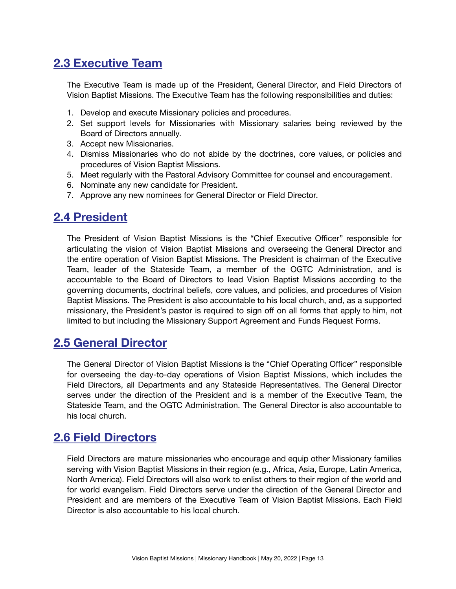## <span id="page-12-0"></span>**2.3 Executive Team**

The Executive Team is made up of the President, General Director, and Field Directors of Vision Baptist Missions. The Executive Team has the following responsibilities and duties:

- 1. Develop and execute Missionary policies and procedures.
- 2. Set support levels for Missionaries with Missionary salaries being reviewed by the Board of Directors annually.
- 3. Accept new Missionaries.
- 4. Dismiss Missionaries who do not abide by the doctrines, core values, or policies and procedures of Vision Baptist Missions.
- 5. Meet regularly with the Pastoral Advisory Committee for counsel and encouragement.
- 6. Nominate any new candidate for President.
- 7. Approve any new nominees for General Director or Field Director.

#### <span id="page-12-1"></span>**2.4 President**

The President of Vision Baptist Missions is the "Chief Executive Officer" responsible for articulating the vision of Vision Baptist Missions and overseeing the General Director and the entire operation of Vision Baptist Missions. The President is chairman of the Executive Team, leader of the Stateside Team, a member of the OGTC Administration, and is accountable to the Board of Directors to lead Vision Baptist Missions according to the governing documents, doctrinal beliefs, core values, and policies, and procedures of Vision Baptist Missions. The President is also accountable to his local church, and, as a supported missionary, the President's pastor is required to sign off on all forms that apply to him, not limited to but including the Missionary Support Agreement and Funds Request Forms.

#### <span id="page-12-2"></span>**2.5 General Director**

The General Director of Vision Baptist Missions is the "Chief Operating Officer" responsible for overseeing the day-to-day operations of Vision Baptist Missions, which includes the Field Directors, all Departments and any Stateside Representatives. The General Director serves under the direction of the President and is a member of the Executive Team, the Stateside Team, and the OGTC Administration. The General Director is also accountable to his local church.

#### <span id="page-12-3"></span>**2.6 Field Directors**

Field Directors are mature missionaries who encourage and equip other Missionary families serving with Vision Baptist Missions in their region (e.g., Africa, Asia, Europe, Latin America, North America). Field Directors will also work to enlist others to their region of the world and for world evangelism. Field Directors serve under the direction of the General Director and President and are members of the Executive Team of Vision Baptist Missions. Each Field Director is also accountable to his local church.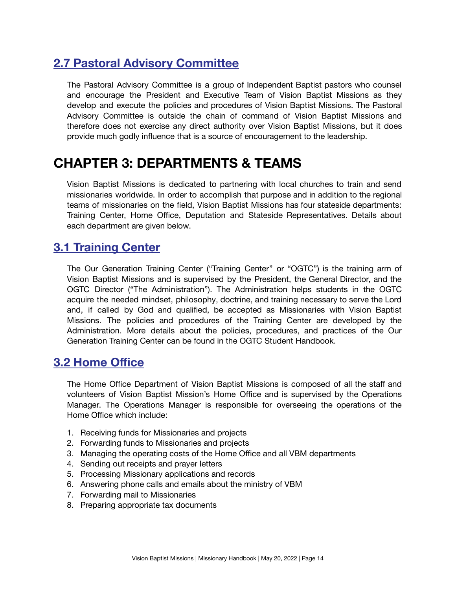# <span id="page-13-0"></span>**2.7 Pastoral Advisory Committee**

The Pastoral Advisory Committee is a group of Independent Baptist pastors who counsel and encourage the President and Executive Team of Vision Baptist Missions as they develop and execute the policies and procedures of Vision Baptist Missions. The Pastoral Advisory Committee is outside the chain of command of Vision Baptist Missions and therefore does not exercise any direct authority over Vision Baptist Missions, but it does provide much godly influence that is a source of encouragement to the leadership.

# <span id="page-13-1"></span>**CHAPTER 3: DEPARTMENTS & TEAMS**

Vision Baptist Missions is dedicated to partnering with local churches to train and send missionaries worldwide. In order to accomplish that purpose and in addition to the regional teams of missionaries on the field, Vision Baptist Missions has four stateside departments: Training Center, Home Office, Deputation and Stateside Representatives. Details about each department are given below.

#### <span id="page-13-2"></span>**3.1 Training Center**

The Our Generation Training Center ("Training Center" or "OGTC") is the training arm of Vision Baptist Missions and is supervised by the President, the General Director, and the OGTC Director ("The Administration"). The Administration helps students in the OGTC acquire the needed mindset, philosophy, doctrine, and training necessary to serve the Lord and, if called by God and qualified, be accepted as Missionaries with Vision Baptist Missions. The policies and procedures of the Training Center are developed by the Administration. More details about the policies, procedures, and practices of the Our Generation Training Center can be found in the OGTC Student Handbook.

### <span id="page-13-3"></span>**3.2 Home Office**

The Home Office Department of Vision Baptist Missions is composed of all the staff and volunteers of Vision Baptist Mission's Home Office and is supervised by the Operations Manager. The Operations Manager is responsible for overseeing the operations of the Home Office which include:

- 1. Receiving funds for Missionaries and projects
- 2. Forwarding funds to Missionaries and projects
- 3. Managing the operating costs of the Home Office and all VBM departments
- 4. Sending out receipts and prayer letters
- 5. Processing Missionary applications and records
- 6. Answering phone calls and emails about the ministry of VBM
- 7. Forwarding mail to Missionaries
- 8. Preparing appropriate tax documents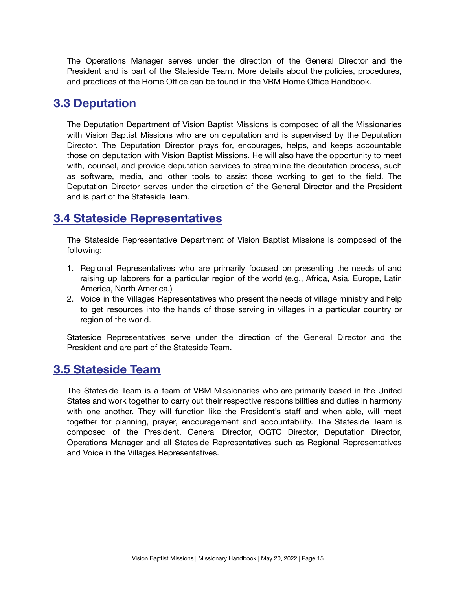The Operations Manager serves under the direction of the General Director and the President and is part of the Stateside Team. More details about the policies, procedures, and practices of the Home Office can be found in the VBM Home Office Handbook.

#### <span id="page-14-0"></span>**3.3 Deputation**

The Deputation Department of Vision Baptist Missions is composed of all the Missionaries with Vision Baptist Missions who are on deputation and is supervised by the Deputation Director. The Deputation Director prays for, encourages, helps, and keeps accountable those on deputation with Vision Baptist Missions. He will also have the opportunity to meet with, counsel, and provide deputation services to streamline the deputation process, such as software, media, and other tools to assist those working to get to the field. The Deputation Director serves under the direction of the General Director and the President and is part of the Stateside Team.

### <span id="page-14-1"></span>**3.4 Stateside Representatives**

The Stateside Representative Department of Vision Baptist Missions is composed of the following:

- 1. Regional Representatives who are primarily focused on presenting the needs of and raising up laborers for a particular region of the world (e.g., Africa, Asia, Europe, Latin America, North America.)
- 2. Voice in the Villages Representatives who present the needs of village ministry and help to get resources into the hands of those serving in villages in a particular country or region of the world.

Stateside Representatives serve under the direction of the General Director and the President and are part of the Stateside Team.

#### <span id="page-14-2"></span>**3.5 Stateside Team**

The Stateside Team is a team of VBM Missionaries who are primarily based in the United States and work together to carry out their respective responsibilities and duties in harmony with one another. They will function like the President's staff and when able, will meet together for planning, prayer, encouragement and accountability. The Stateside Team is composed of the President, General Director, OGTC Director, Deputation Director, Operations Manager and all Stateside Representatives such as Regional Representatives and Voice in the Villages Representatives.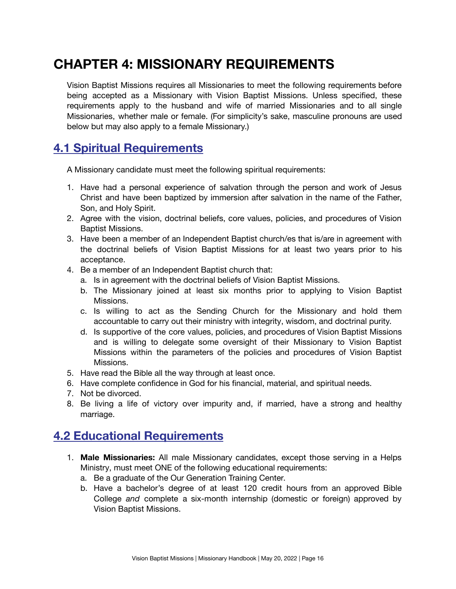# <span id="page-15-0"></span>**CHAPTER 4: MISSIONARY REQUIREMENTS**

Vision Baptist Missions requires all Missionaries to meet the following requirements before being accepted as a Missionary with Vision Baptist Missions. Unless specified, these requirements apply to the husband and wife of married Missionaries and to all single Missionaries, whether male or female. (For simplicity's sake, masculine pronouns are used below but may also apply to a female Missionary.)

### <span id="page-15-1"></span>**4.1 Spiritual Requirements**

A Missionary candidate must meet the following spiritual requirements:

- 1. Have had a personal experience of salvation through the person and work of Jesus Christ and have been baptized by immersion after salvation in the name of the Father, Son, and Holy Spirit.
- 2. Agree with the vision, doctrinal beliefs, core values, policies, and procedures of Vision Baptist Missions.
- 3. Have been a member of an Independent Baptist church/es that is/are in agreement with the doctrinal beliefs of Vision Baptist Missions for at least two years prior to his acceptance.
- 4. Be a member of an Independent Baptist church that:
	- a. Is in agreement with the doctrinal beliefs of Vision Baptist Missions.
	- b. The Missionary joined at least six months prior to applying to Vision Baptist Missions.
	- c. Is willing to act as the Sending Church for the Missionary and hold them accountable to carry out their ministry with integrity, wisdom, and doctrinal purity.
	- d. Is supportive of the core values, policies, and procedures of Vision Baptist Missions and is willing to delegate some oversight of their Missionary to Vision Baptist Missions within the parameters of the policies and procedures of Vision Baptist Missions.
- 5. Have read the Bible all the way through at least once.
- 6. Have complete confidence in God for his financial, material, and spiritual needs.
- 7. Not be divorced.
- 8. Be living a life of victory over impurity and, if married, have a strong and healthy marriage.

### <span id="page-15-2"></span>**4.2 Educational Requirements**

- 1. **Male Missionaries:** All male Missionary candidates, except those serving in a Helps Ministry, must meet ONE of the following educational requirements:
	- a. Be a graduate of the Our Generation Training Center.
	- b. Have a bachelor's degree of at least 120 credit hours from an approved Bible College *and* complete a six-month internship (domestic or foreign) approved by Vision Baptist Missions.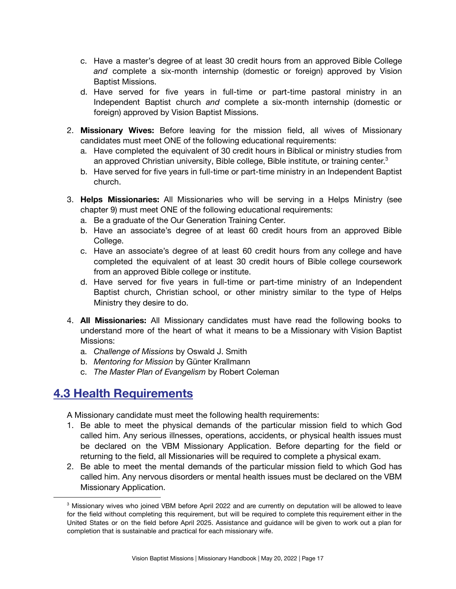- c. Have a master's degree of at least 30 credit hours from an approved Bible College *and* complete a six-month internship (domestic or foreign) approved by Vision Baptist Missions.
- d. Have served for five years in full-time or part-time pastoral ministry in an Independent Baptist church *and* complete a six-month internship (domestic or foreign) approved by Vision Baptist Missions.
- 2. **Missionary Wives:** Before leaving for the mission field, all wives of Missionary candidates must meet ONE of the following educational requirements:
	- a. Have completed the equivalent of 30 credit hours in Biblical or ministry studies from an approved Christian university, Bible college, Bible institute, or training center.<sup>3</sup>
	- b. Have served for five years in full-time or part-time ministry in an Independent Baptist church.
- 3. **Helps Missionaries:** All Missionaries who will be serving in a Helps Ministry (see chapter 9) must meet ONE of the following educational requirements:
	- a. Be a graduate of the Our Generation Training Center.
	- b. Have an associate's degree of at least 60 credit hours from an approved Bible College.
	- c. Have an associate's degree of at least 60 credit hours from any college and have completed the equivalent of at least 30 credit hours of Bible college coursework from an approved Bible college or institute.
	- d. Have served for five years in full-time or part-time ministry of an Independent Baptist church, Christian school, or other ministry similar to the type of Helps Ministry they desire to do.
- 4. **All Missionaries:** All Missionary candidates must have read the following books to understand more of the heart of what it means to be a Missionary with Vision Baptist Missions:
	- a. *Challenge of Missions* by Oswald J. Smith
	- b. *Mentoring for Mission* by Günter Krallmann
	- c. *The Master Plan of Evangelism* by Robert Coleman

### <span id="page-16-0"></span>**4.3 Health Requirements**

A Missionary candidate must meet the following health requirements:

- 1. Be able to meet the physical demands of the particular mission field to which God called him. Any serious illnesses, operations, accidents, or physical health issues must be declared on the VBM Missionary Application. Before departing for the field or returning to the field, all Missionaries will be required to complete a physical exam.
- 2. Be able to meet the mental demands of the particular mission field to which God has called him. Any nervous disorders or mental health issues must be declared on the VBM Missionary Application.

<sup>&</sup>lt;sup>3</sup> Missionary wives who joined VBM before April 2022 and are currently on deputation will be allowed to leave for the field without completing this requirement, but will be required to complete this requirement either in the United States or on the field before April 2025. Assistance and guidance will be given to work out a plan for completion that is sustainable and practical for each missionary wife.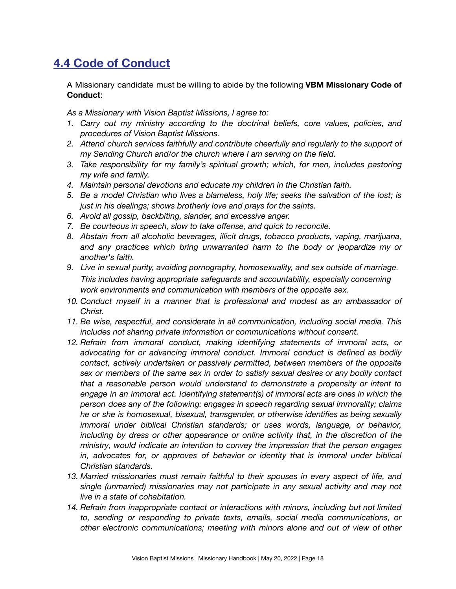# <span id="page-17-0"></span>**4.4 Code of Conduct**

A Missionary candidate must be willing to abide by the following **VBM Missionary Code of Conduct**:

*As a Missionary with Vision Baptist Missions, I agree to:*

- *1. Carry out my ministry according to the doctrinal beliefs, core values, policies, and procedures of Vision Baptist Missions.*
- *2. Attend church services faithfully and contribute cheerfully and regularly to the support of my Sending Church and/or the church where I am serving on the field.*
- *3. Take responsibility for my family's spiritual growth; which, for men, includes pastoring my wife and family.*
- *4. Maintain personal devotions and educate my children in the Christian faith.*
- *5. Be a model Christian who lives a blameless, holy life; seeks the salvation of the lost; is just in his dealings; shows brotherly love and prays for the saints.*
- *6. Avoid all gossip, backbiting, slander, and excessive anger.*
- *7. Be courteous in speech, slow to take offense, and quick to reconcile.*
- *8. Abstain from all alcoholic beverages, illicit drugs, tobacco products, vaping, marijuana, and any practices which bring unwarranted harm to the body or jeopardize my or another's faith.*
- *9. Live in sexual purity, avoiding pornography, homosexuality, and sex outside of marriage. This includes having appropriate safeguards and accountability, especially concerning work environments and communication with members of the opposite sex.*
- *10. Conduct myself in a manner that is professional and modest as an ambassador of Christ.*
- *11. Be wise, respectful, and considerate in all communication, including social media. This includes not sharing private information or communications without consent.*
- *12. Refrain from immoral conduct, making identifying statements of immoral acts, or advocating for or advancing immoral conduct. Immoral conduct is defined as bodily contact, actively undertaken or passively permitted, between members of the opposite sex or members of the same sex in order to satisfy sexual desires or any bodily contact that a reasonable person would understand to demonstrate a propensity or intent to engage in an immoral act. Identifying statement(s) of immoral acts are ones in which the person does any of the following: engages in speech regarding sexual immorality; claims he or she is homosexual, bisexual, transgender, or otherwise identifies as being sexually immoral under biblical Christian standards; or uses words, language, or behavior, including by dress or other appearance or online activity that, in the discretion of the ministry, would indicate an intention to convey the impression that the person engages in, advocates for, or approves of behavior or identity that is immoral under biblical Christian standards.*
- *13. Married missionaries must remain faithful to their spouses in every aspect of life, and single (unmarried) missionaries may not participate in any sexual activity and may not live in a state of cohabitation.*
- *14. Refrain from inappropriate contact or interactions with minors, including but not limited to, sending or responding to private texts, emails, social media communications, or other electronic communications; meeting with minors alone and out of view of other*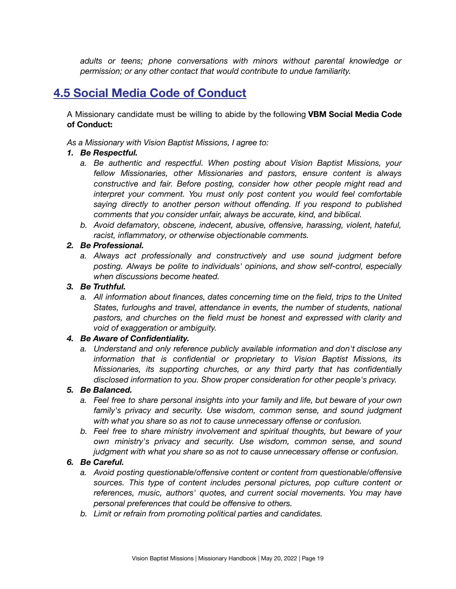*adults or teens; phone conversations with minors without parental knowledge or permission; or any other contact that would contribute to undue familiarity.*

### <span id="page-18-0"></span>**4.5 Social Media Code of Conduct**

A Missionary candidate must be willing to abide by the following **VBM Social Media Code of Conduct:**

*As a Missionary with Vision Baptist Missions, I agree to:*

#### *1. Be Respectful.*

- *a. Be authentic and respectful. When posting about Vision Baptist Missions, your fellow Missionaries, other Missionaries and pastors, ensure content is always constructive and fair. Before posting, consider how other people might read and interpret your comment. You must only post content you would feel comfortable saying directly to another person without offending. If you respond to published comments that you consider unfair, always be accurate, kind, and biblical.*
- *b. Avoid defamatory, obscene, indecent, abusive, offensive, harassing, violent, hateful, racist, inflammatory, or otherwise objectionable comments.*

#### *2. Be Professional.*

*a. Always act professionally and constructively and use sound judgment before posting. Always be polite to individuals' opinions, and show self-control, especially when discussions become heated.*

#### *3. Be Truthful.*

*a. All information about finances, dates concerning time on the field, trips to the United States, furloughs and travel, attendance in events, the number of students, national pastors, and churches on the field must be honest and expressed with clarity and void of exaggeration or ambiguity.*

#### *4. Be Aware of Confidentiality.*

*a. Understand and only reference publicly available information and don't disclose any information that is confidential or proprietary to Vision Baptist Missions, its Missionaries, its supporting churches, or any third party that has confidentially disclosed information to you. Show proper consideration for other people's privacy.*

#### *5. Be Balanced.*

- *a. Feel free to share personal insights into your family and life, but beware of your own family's privacy and security. Use wisdom, common sense, and sound judgment with what you share so as not to cause unnecessary offense or confusion.*
- *b. Feel free to share ministry involvement and spiritual thoughts, but beware of your own ministry's privacy and security. Use wisdom, common sense, and sound judgment with what you share so as not to cause unnecessary offense or confusion.*

#### *6. Be Careful.*

- *a. Avoid posting questionable/offensive content or content from questionable/offensive sources. This type of content includes personal pictures, pop culture content or references, music, authors' quotes, and current social movements. You may have personal preferences that could be offensive to others.*
- *b. Limit or refrain from promoting political parties and candidates.*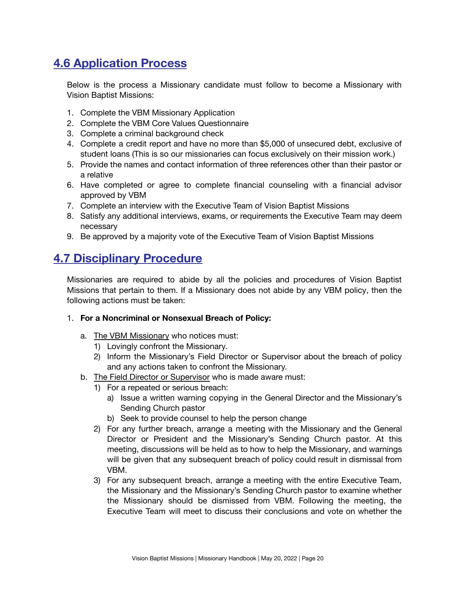# <span id="page-19-0"></span>**4.6 Application Process**

Below is the process a Missionary candidate must follow to become a Missionary with Vision Baptist Missions:

- 1. Complete the VBM Missionary Application
- 2. Complete the VBM Core Values Questionnaire
- 3. Complete a criminal background check
- 4. Complete a credit report and have no more than \$5,000 of unsecured debt, exclusive of student loans (This is so our missionaries can focus exclusively on their mission work.)
- 5. Provide the names and contact information of three references other than their pastor or a relative
- 6. Have completed or agree to complete financial counseling with a financial advisor approved by VBM
- 7. Complete an interview with the Executive Team of Vision Baptist Missions
- 8. Satisfy any additional interviews, exams, or requirements the Executive Team may deem necessary
- 9. Be approved by a majority vote of the Executive Team of Vision Baptist Missions

### <span id="page-19-1"></span>**4.7 Disciplinary Procedure**

Missionaries are required to abide by all the policies and procedures of Vision Baptist Missions that pertain to them. If a Missionary does not abide by any VBM policy, then the following actions must be taken:

#### 1. **For a Noncriminal or Nonsexual Breach of Policy:**

- a. The VBM Missionary who notices must:
	- 1) Lovingly confront the Missionary.
	- 2) Inform the Missionary's Field Director or Supervisor about the breach of policy and any actions taken to confront the Missionary.
- b. The Field Director or Supervisor who is made aware must:
	- 1) For a repeated or serious breach:
		- a) Issue a written warning copying in the General Director and the Missionary's Sending Church pastor
		- b) Seek to provide counsel to help the person change
	- 2) For any further breach, arrange a meeting with the Missionary and the General Director or President and the Missionary's Sending Church pastor. At this meeting, discussions will be held as to how to help the Missionary, and warnings will be given that any subsequent breach of policy could result in dismissal from VBM.
	- 3) For any subsequent breach, arrange a meeting with the entire Executive Team, the Missionary and the Missionary's Sending Church pastor to examine whether the Missionary should be dismissed from VBM. Following the meeting, the Executive Team will meet to discuss their conclusions and vote on whether the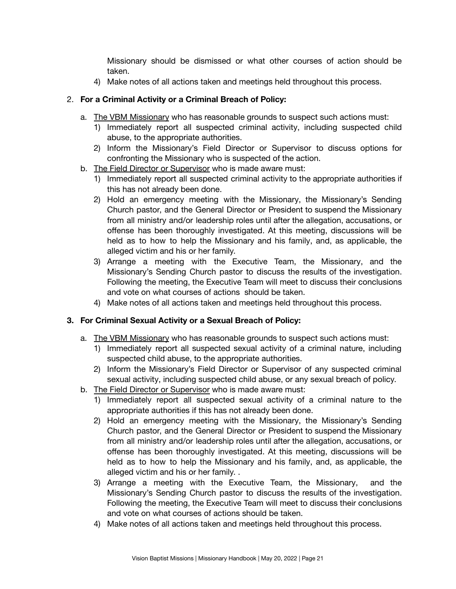Missionary should be dismissed or what other courses of action should be taken.

4) Make notes of all actions taken and meetings held throughout this process.

#### 2. **For a Criminal Activity or a Criminal Breach of Policy:**

- a. The VBM Missionary who has reasonable grounds to suspect such actions must:
	- 1) Immediately report all suspected criminal activity, including suspected child abuse, to the appropriate authorities.
	- 2) Inform the Missionary's Field Director or Supervisor to discuss options for confronting the Missionary who is suspected of the action.
- b. The Field Director or Supervisor who is made aware must:
	- 1) Immediately report all suspected criminal activity to the appropriate authorities if this has not already been done.
	- 2) Hold an emergency meeting with the Missionary, the Missionary's Sending Church pastor, and the General Director or President to suspend the Missionary from all ministry and/or leadership roles until after the allegation, accusations, or offense has been thoroughly investigated. At this meeting, discussions will be held as to how to help the Missionary and his family, and, as applicable, the alleged victim and his or her family.
	- 3) Arrange a meeting with the Executive Team, the Missionary, and the Missionary's Sending Church pastor to discuss the results of the investigation. Following the meeting, the Executive Team will meet to discuss their conclusions and vote on what courses of actions should be taken.
	- 4) Make notes of all actions taken and meetings held throughout this process.

#### **3. For Criminal Sexual Activity or a Sexual Breach of Policy:**

- a. The VBM Missionary who has reasonable grounds to suspect such actions must:
	- 1) Immediately report all suspected sexual activity of a criminal nature, including suspected child abuse, to the appropriate authorities.
	- 2) Inform the Missionary's Field Director or Supervisor of any suspected criminal sexual activity, including suspected child abuse, or any sexual breach of policy.
- b. The Field Director or Supervisor who is made aware must:
	- 1) Immediately report all suspected sexual activity of a criminal nature to the appropriate authorities if this has not already been done.
	- 2) Hold an emergency meeting with the Missionary, the Missionary's Sending Church pastor, and the General Director or President to suspend the Missionary from all ministry and/or leadership roles until after the allegation, accusations, or offense has been thoroughly investigated. At this meeting, discussions will be held as to how to help the Missionary and his family, and, as applicable, the alleged victim and his or her family. .
	- 3) Arrange a meeting with the Executive Team, the Missionary, and the Missionary's Sending Church pastor to discuss the results of the investigation. Following the meeting, the Executive Team will meet to discuss their conclusions and vote on what courses of actions should be taken.
	- 4) Make notes of all actions taken and meetings held throughout this process.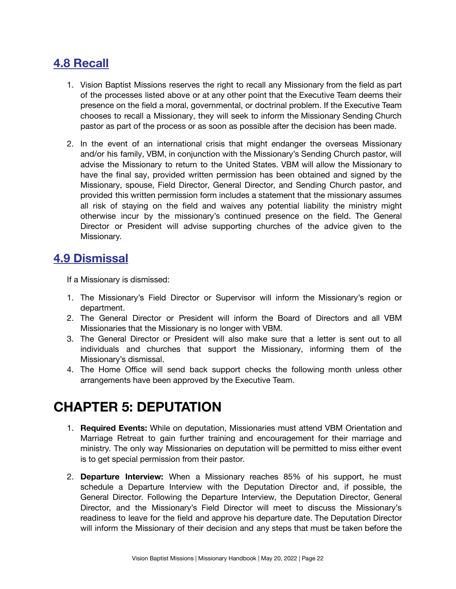## <span id="page-21-0"></span>**4.8 Recall**

- 1. Vision Baptist Missions reserves the right to recall any Missionary from the field as part of the processes listed above or at any other point that the Executive Team deems their presence on the field a moral, governmental, or doctrinal problem. If the Executive Team chooses to recall a Missionary, they will seek to inform the Missionary Sending Church pastor as part of the process or as soon as possible after the decision has been made.
- 2. In the event of an international crisis that might endanger the overseas Missionary and/or his family, VBM, in conjunction with the Missionary's Sending Church pastor, will advise the Missionary to return to the United States. VBM will allow the Missionary to have the final say, provided written permission has been obtained and signed by the Missionary, spouse, Field Director, General Director, and Sending Church pastor, and provided this written permission form includes a statement that the missionary assumes all risk of staying on the field and waives any potential liability the ministry might otherwise incur by the missionary's continued presence on the field. The General Director or President will advise supporting churches of the advice given to the Missionary.

### <span id="page-21-1"></span>**4.9 Dismissal**

If a Missionary is dismissed:

- 1. The Missionary's Field Director or Supervisor will inform the Missionary's region or department.
- 2. The General Director or President will inform the Board of Directors and all VBM Missionaries that the Missionary is no longer with VBM.
- 3. The General Director or President will also make sure that a letter is sent out to all individuals and churches that support the Missionary, informing them of the Missionary's dismissal.
- 4. The Home Office will send back support checks the following month unless other arrangements have been approved by the Executive Team.

# <span id="page-21-2"></span>**CHAPTER 5: DEPUTATION**

- 1. **Required Events:** While on deputation, Missionaries must attend VBM Orientation and Marriage Retreat to gain further training and encouragement for their marriage and ministry. The only way Missionaries on deputation will be permitted to miss either event is to get special permission from their pastor.
- 2. **Departure Interview:** When a Missionary reaches 85% of his support, he must schedule a Departure Interview with the Deputation Director and, if possible, the General Director. Following the Departure Interview, the Deputation Director, General Director, and the Missionary's Field Director will meet to discuss the Missionary's readiness to leave for the field and approve his departure date. The Deputation Director will inform the Missionary of their decision and any steps that must be taken before the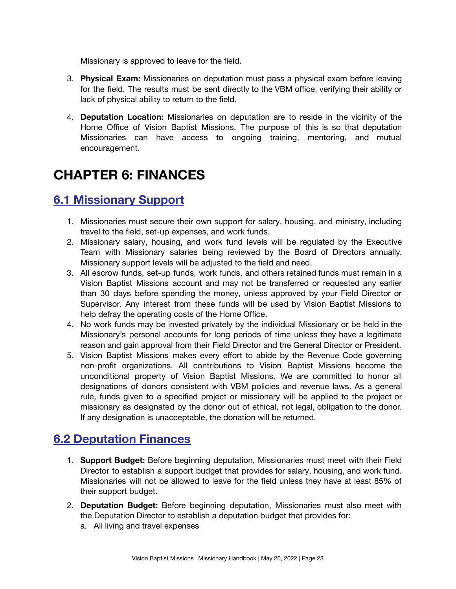Missionary is approved to leave for the field.

- 3. **Physical Exam:** Missionaries on deputation must pass a physical exam before leaving for the field. The results must be sent directly to the VBM office, verifying their ability or lack of physical ability to return to the field.
- 4. **Deputation Location:** Missionaries on deputation are to reside in the vicinity of the Home Office of Vision Baptist Missions. The purpose of this is so that deputation Missionaries can have access to ongoing training, mentoring, and mutual encouragement.

# <span id="page-22-0"></span>**CHAPTER 6: FINANCES**

## <span id="page-22-1"></span>**6.1 Missionary Support**

- 1. Missionaries must secure their own support for salary, housing, and ministry, including travel to the field, set-up expenses, and work funds.
- 2. Missionary salary, housing, and work fund levels will be regulated by the Executive Team with Missionary salaries being reviewed by the Board of Directors annually. Missionary support levels will be adjusted to the field and need.
- 3. All escrow funds, set-up funds, work funds, and others retained funds must remain in a Vision Baptist Missions account and may not be transferred or requested any earlier than 30 days before spending the money, unless approved by your Field Director or Supervisor. Any interest from these funds will be used by Vision Baptist Missions to help defray the operating costs of the Home Office.
- 4. No work funds may be invested privately by the individual Missionary or be held in the Missionary's personal accounts for long periods of time unless they have a legitimate reason and gain approval from their Field Director and the General Director or President.
- 5. Vision Baptist Missions makes every effort to abide by the Revenue Code governing non-profit organizations. All contributions to Vision Baptist Missions become the unconditional property of Vision Baptist Missions. We are committed to honor all designations of donors consistent with VBM policies and revenue laws. As a general rule, funds given to a specified project or missionary will be applied to the project or missionary as designated by the donor out of ethical, not legal, obligation to the donor. If any designation is unacceptable, the donation will be returned.

## <span id="page-22-2"></span>**6.2 Deputation Finances**

- 1. **Support Budget:** Before beginning deputation, Missionaries must meet with their Field Director to establish a support budget that provides for salary, housing, and work fund. Missionaries will not be allowed to leave for the field unless they have at least 85% of their support budget.
- 2. **Deputation Budget:** Before beginning deputation, Missionaries must also meet with the Deputation Director to establish a deputation budget that provides for:
	- a. All living and travel expenses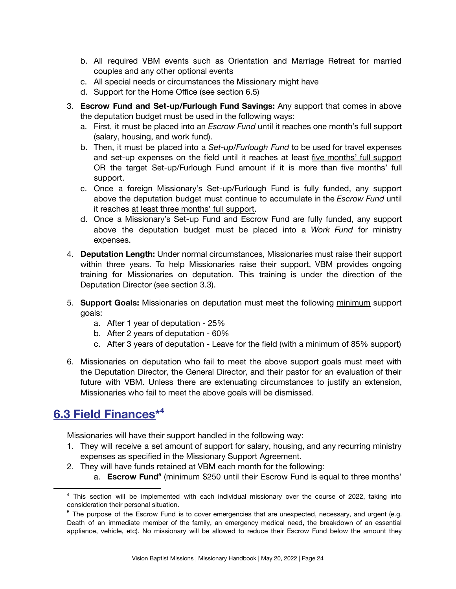- b. All required VBM events such as Orientation and Marriage Retreat for married couples and any other optional events
- c. All special needs or circumstances the Missionary might have
- d. Support for the Home Office (see section 6.5)
- 3. **Escrow Fund and Set-up/Furlough Fund Savings:** Any support that comes in above the deputation budget must be used in the following ways:
	- a. First, it must be placed into an *Escrow Fund* until it reaches one month's full support (salary, housing, and work fund).
	- b. Then, it must be placed into a *Set-up/Furlough Fund* to be used for travel expenses and set-up expenses on the field until it reaches at least five months' full support OR the target Set-up/Furlough Fund amount if it is more than five months' full support.
	- c. Once a foreign Missionary's Set-up/Furlough Fund is fully funded, any support above the deputation budget must continue to accumulate in the *Escrow Fund* until it reaches at least three months' full support.
	- d. Once a Missionary's Set-up Fund and Escrow Fund are fully funded, any support above the deputation budget must be placed into a *Work Fund* for ministry expenses.
- 4. **Deputation Length:** Under normal circumstances, Missionaries must raise their support within three years. To help Missionaries raise their support, VBM provides ongoing training for Missionaries on deputation. This training is under the direction of the Deputation Director (see section 3.3).
- 5. **Support Goals:** Missionaries on deputation must meet the following minimum support goals:
	- a. After 1 year of deputation 25%
	- b. After 2 years of deputation 60%
	- c. After 3 years of deputation Leave for the field (with a minimum of 85% support)
- 6. Missionaries on deputation who fail to meet the above support goals must meet with the Deputation Director, the General Director, and their pastor for an evaluation of their future with VBM. Unless there are extenuating circumstances to justify an extension, Missionaries who fail to meet the above goals will be dismissed.

## <span id="page-23-0"></span>**6.3 Field Finances\* 4**

Missionaries will have their support handled in the following way:

- 1. They will receive a set amount of support for salary, housing, and any recurring ministry expenses as specified in the Missionary Support Agreement.
- 2. They will have funds retained at VBM each month for the following:
	- a. **Escrow Fund**<sup>5</sup> (minimum \$250 until their Escrow Fund is equal to three months'

<sup>4</sup> This section will be implemented with each individual missionary over the course of 2022, taking into consideration their personal situation.

<sup>&</sup>lt;sup>5</sup> The purpose of the Escrow Fund is to cover emergencies that are unexpected, necessary, and urgent (e.g. Death of an immediate member of the family, an emergency medical need, the breakdown of an essential appliance, vehicle, etc). No missionary will be allowed to reduce their Escrow Fund below the amount they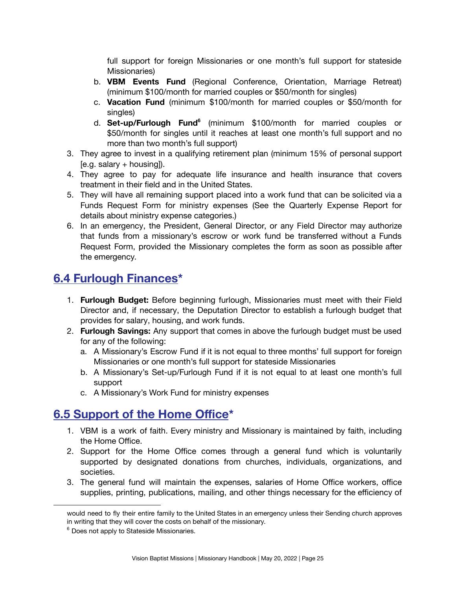full support for foreign Missionaries or one month's full support for stateside Missionaries)

- b. **VBM Events Fund** (Regional Conference, Orientation, Marriage Retreat) (minimum \$100/month for married couples or \$50/month for singles)
- c. **Vacation Fund** (minimum \$100/month for married couples or \$50/month for singles)
- d. **Set-up/Furlough Fund 6** (minimum \$100/month for married couples or \$50/month for singles until it reaches at least one month's full support and no more than two month's full support)
- 3. They agree to invest in a qualifying retirement plan (minimum 15% of personal support  $[$ e.g. salary + housing $]$ ).
- 4. They agree to pay for adequate life insurance and health insurance that covers treatment in their field and in the United States.
- 5. They will have all remaining support placed into a work fund that can be solicited via a Funds Request Form for ministry expenses (See the Quarterly Expense Report for details about ministry expense categories.)
- 6. In an emergency, the President, General Director, or any Field Director may authorize that funds from a missionary's escrow or work fund be transferred without a Funds Request Form, provided the Missionary completes the form as soon as possible after the emergency.

## <span id="page-24-0"></span>**6.4 Furlough Finances\***

- 1. **Furlough Budget:** Before beginning furlough, Missionaries must meet with their Field Director and, if necessary, the Deputation Director to establish a furlough budget that provides for salary, housing, and work funds.
- 2. **Furlough Savings:** Any support that comes in above the furlough budget must be used for any of the following:
	- a. A Missionary's Escrow Fund if it is not equal to three months' full support for foreign Missionaries or one month's full support for stateside Missionaries
	- b. A Missionary's Set-up/Furlough Fund if it is not equal to at least one month's full support
	- c. A Missionary's Work Fund for ministry expenses

## <span id="page-24-1"></span>**6.5 Support of the Home Office\***

- 1. VBM is a work of faith. Every ministry and Missionary is maintained by faith, including the Home Office.
- 2. Support for the Home Office comes through a general fund which is voluntarily supported by designated donations from churches, individuals, organizations, and societies.
- 3. The general fund will maintain the expenses, salaries of Home Office workers, office supplies, printing, publications, mailing, and other things necessary for the efficiency of

would need to fly their entire family to the United States in an emergency unless their Sending church approves in writing that they will cover the costs on behalf of the missionary.

<sup>&</sup>lt;sup>6</sup> Does not apply to Stateside Missionaries.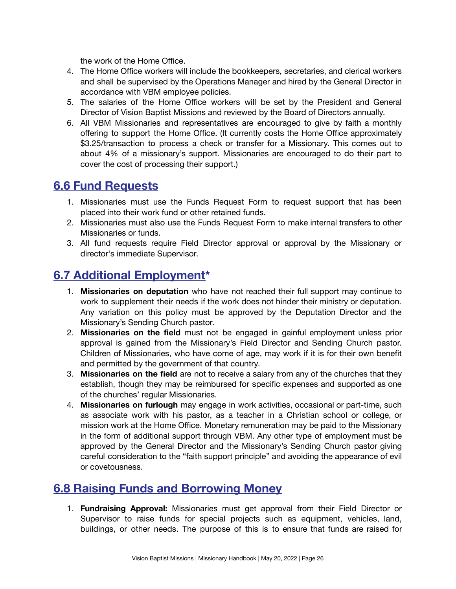the work of the Home Office.

- 4. The Home Office workers will include the bookkeepers, secretaries, and clerical workers and shall be supervised by the Operations Manager and hired by the General Director in accordance with VBM employee policies.
- 5. The salaries of the Home Office workers will be set by the President and General Director of Vision Baptist Missions and reviewed by the Board of Directors annually.
- 6. All VBM Missionaries and representatives are encouraged to give by faith a monthly offering to support the Home Office. (It currently costs the Home Office approximately \$3.25/transaction to process a check or transfer for a Missionary. This comes out to about 4% of a missionary's support. Missionaries are encouraged to do their part to cover the cost of processing their support.)

### <span id="page-25-0"></span>**6.6 Fund Requests**

- 1. Missionaries must use the Funds Request Form to request support that has been placed into their work fund or other retained funds.
- 2. Missionaries must also use the Funds Request Form to make internal transfers to other Missionaries or funds.
- 3. All fund requests require Field Director approval or approval by the Missionary or director's immediate Supervisor.

## <span id="page-25-1"></span>**6.7 Additional Employment\***

- 1. **Missionaries on deputation** who have not reached their full support may continue to work to supplement their needs if the work does not hinder their ministry or deputation. Any variation on this policy must be approved by the Deputation Director and the Missionary's Sending Church pastor.
- 2. **Missionaries on the field** must not be engaged in gainful employment unless prior approval is gained from the Missionary's Field Director and Sending Church pastor. Children of Missionaries, who have come of age, may work if it is for their own benefit and permitted by the government of that country.
- 3. **Missionaries on the field** are not to receive a salary from any of the churches that they establish, though they may be reimbursed for specific expenses and supported as one of the churches' regular Missionaries.
- 4. **Missionaries on furlough** may engage in work activities, occasional or part-time, such as associate work with his pastor, as a teacher in a Christian school or college, or mission work at the Home Office. Monetary remuneration may be paid to the Missionary in the form of additional support through VBM. Any other type of employment must be approved by the General Director and the Missionary's Sending Church pastor giving careful consideration to the "faith support principle" and avoiding the appearance of evil or covetousness.

### <span id="page-25-2"></span>**6.8 Raising Funds and Borrowing Money**

1. **Fundraising Approval:** Missionaries must get approval from their Field Director or Supervisor to raise funds for special projects such as equipment, vehicles, land, buildings, or other needs. The purpose of this is to ensure that funds are raised for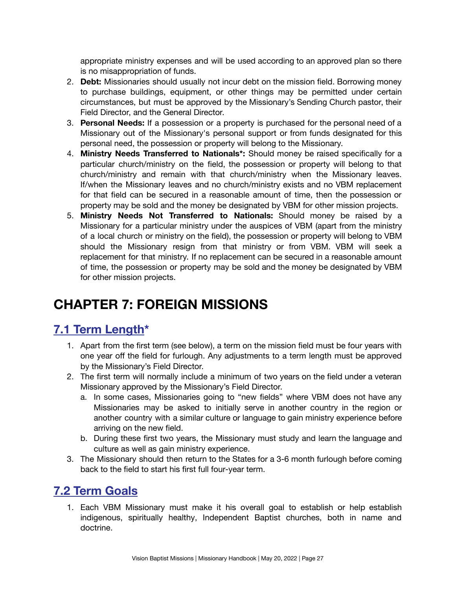appropriate ministry expenses and will be used according to an approved plan so there is no misappropriation of funds.

- 2. **Debt:** Missionaries should usually not incur debt on the mission field. Borrowing money to purchase buildings, equipment, or other things may be permitted under certain circumstances, but must be approved by the Missionary's Sending Church pastor, their Field Director, and the General Director.
- 3. **Personal Needs:** If a possession or a property is purchased for the personal need of a Missionary out of the Missionary's personal support or from funds designated for this personal need, the possession or property will belong to the Missionary.
- 4. **Ministry Needs Transferred to Nationals\*:** Should money be raised specifically for a particular church/ministry on the field, the possession or property will belong to that church/ministry and remain with that church/ministry when the Missionary leaves. If/when the Missionary leaves and no church/ministry exists and no VBM replacement for that field can be secured in a reasonable amount of time, then the possession or property may be sold and the money be designated by VBM for other mission projects.
- 5. **Ministry Needs Not Transferred to Nationals:** Should money be raised by a Missionary for a particular ministry under the auspices of VBM (apart from the ministry of a local church or ministry on the field), the possession or property will belong to VBM should the Missionary resign from that ministry or from VBM. VBM will seek a replacement for that ministry. If no replacement can be secured in a reasonable amount of time, the possession or property may be sold and the money be designated by VBM for other mission projects.

# <span id="page-26-0"></span>**CHAPTER 7: FOREIGN MISSIONS**

# <span id="page-26-1"></span>**7.1 Term Length\***

- 1. Apart from the first term (see below), a term on the mission field must be four years with one year off the field for furlough. Any adjustments to a term length must be approved by the Missionary's Field Director.
- 2. The first term will normally include a minimum of two years on the field under a veteran Missionary approved by the Missionary's Field Director.
	- a. In some cases, Missionaries going to "new fields" where VBM does not have any Missionaries may be asked to initially serve in another country in the region or another country with a similar culture or language to gain ministry experience before arriving on the new field.
	- b. During these first two years, the Missionary must study and learn the language and culture as well as gain ministry experience.
- 3. The Missionary should then return to the States for a 3-6 month furlough before coming back to the field to start his first full four-year term.

### <span id="page-26-2"></span>**7.2 Term Goals**

1. Each VBM Missionary must make it his overall goal to establish or help establish indigenous, spiritually healthy, Independent Baptist churches, both in name and doctrine.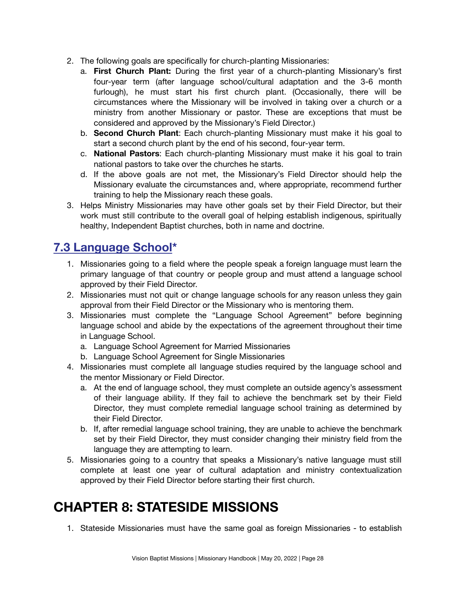- 2. The following goals are specifically for church-planting Missionaries:
	- a. **First Church Plant:** During the first year of a church-planting Missionary's first four-year term (after language school/cultural adaptation and the 3-6 month furlough), he must start his first church plant. (Occasionally, there will be circumstances where the Missionary will be involved in taking over a church or a ministry from another Missionary or pastor. These are exceptions that must be considered and approved by the Missionary's Field Director.)
	- b. **Second Church Plant**: Each church-planting Missionary must make it his goal to start a second church plant by the end of his second, four-year term.
	- c. **National Pastors**: Each church-planting Missionary must make it his goal to train national pastors to take over the churches he starts.
	- d. If the above goals are not met, the Missionary's Field Director should help the Missionary evaluate the circumstances and, where appropriate, recommend further training to help the Missionary reach these goals.
- 3. Helps Ministry Missionaries may have other goals set by their Field Director, but their work must still contribute to the overall goal of helping establish indigenous, spiritually healthy, Independent Baptist churches, both in name and doctrine.

## <span id="page-27-0"></span>**7.3 Language School\***

- 1. Missionaries going to a field where the people speak a foreign language must learn the primary language of that country or people group and must attend a language school approved by their Field Director.
- 2. Missionaries must not quit or change language schools for any reason unless they gain approval from their Field Director or the Missionary who is mentoring them.
- 3. Missionaries must complete the "Language School Agreement" before beginning language school and abide by the expectations of the agreement throughout their time in Language School.
	- a. Language School Agreement for Married Missionaries
	- b. Language School Agreement for Single Missionaries
- 4. Missionaries must complete all language studies required by the language school and the mentor Missionary or Field Director.
	- a. At the end of language school, they must complete an outside agency's assessment of their language ability. If they fail to achieve the benchmark set by their Field Director, they must complete remedial language school training as determined by their Field Director.
	- b. If, after remedial language school training, they are unable to achieve the benchmark set by their Field Director, they must consider changing their ministry field from the language they are attempting to learn.
- 5. Missionaries going to a country that speaks a Missionary's native language must still complete at least one year of cultural adaptation and ministry contextualization approved by their Field Director before starting their first church.

# <span id="page-27-1"></span>**CHAPTER 8: STATESIDE MISSIONS**

1. Stateside Missionaries must have the same goal as foreign Missionaries - to establish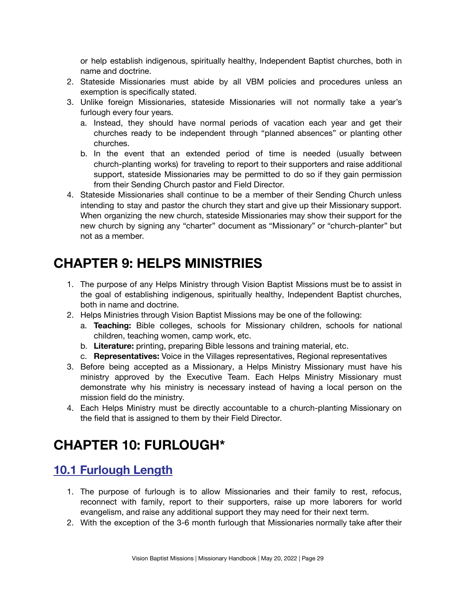or help establish indigenous, spiritually healthy, Independent Baptist churches, both in name and doctrine.

- 2. Stateside Missionaries must abide by all VBM policies and procedures unless an exemption is specifically stated.
- 3. Unlike foreign Missionaries, stateside Missionaries will not normally take a year's furlough every four years.
	- a. Instead, they should have normal periods of vacation each year and get their churches ready to be independent through "planned absences" or planting other churches.
	- b. In the event that an extended period of time is needed (usually between church-planting works) for traveling to report to their supporters and raise additional support, stateside Missionaries may be permitted to do so if they gain permission from their Sending Church pastor and Field Director.
- 4. Stateside Missionaries shall continue to be a member of their Sending Church unless intending to stay and pastor the church they start and give up their Missionary support. When organizing the new church, stateside Missionaries may show their support for the new church by signing any "charter" document as "Missionary" or "church-planter" but not as a member.

# <span id="page-28-0"></span>**CHAPTER 9: HELPS MINISTRIES**

- 1. The purpose of any Helps Ministry through Vision Baptist Missions must be to assist in the goal of establishing indigenous, spiritually healthy, Independent Baptist churches, both in name and doctrine.
- 2. Helps Ministries through Vision Baptist Missions may be one of the following:
	- a. **Teaching:** Bible colleges, schools for Missionary children, schools for national children, teaching women, camp work, etc.
	- b. **Literature:** printing, preparing Bible lessons and training material, etc.
	- c. **Representatives:** Voice in the Villages representatives, Regional representatives
- 3. Before being accepted as a Missionary, a Helps Ministry Missionary must have his ministry approved by the Executive Team. Each Helps Ministry Missionary must demonstrate why his ministry is necessary instead of having a local person on the mission field do the ministry.
- 4. Each Helps Ministry must be directly accountable to a church-planting Missionary on the field that is assigned to them by their Field Director.

# <span id="page-28-1"></span>**CHAPTER 10: FURLOUGH\***

## <span id="page-28-2"></span>**10.1 Furlough Length**

- 1. The purpose of furlough is to allow Missionaries and their family to rest, refocus, reconnect with family, report to their supporters, raise up more laborers for world evangelism, and raise any additional support they may need for their next term.
- 2. With the exception of the 3-6 month furlough that Missionaries normally take after their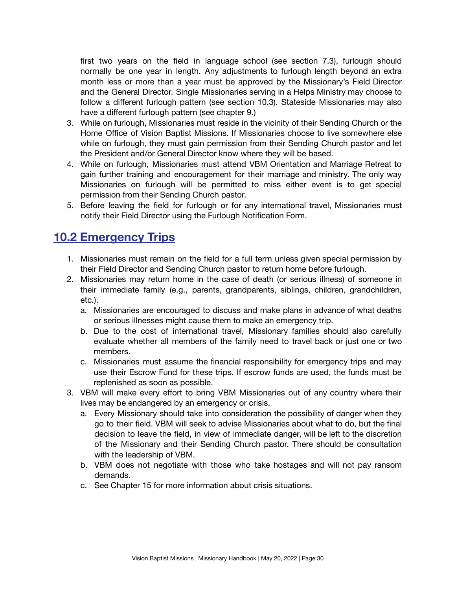first two years on the field in language school (see section 7.3), furlough should normally be one year in length. Any adjustments to furlough length beyond an extra month less or more than a year must be approved by the Missionary's Field Director and the General Director. Single Missionaries serving in a Helps Ministry may choose to follow a different furlough pattern (see section 10.3). Stateside Missionaries may also have a different furlough pattern (see chapter 9.)

- 3. While on furlough, Missionaries must reside in the vicinity of their Sending Church or the Home Office of Vision Baptist Missions. If Missionaries choose to live somewhere else while on furlough, they must gain permission from their Sending Church pastor and let the President and/or General Director know where they will be based.
- 4. While on furlough, Missionaries must attend VBM Orientation and Marriage Retreat to gain further training and encouragement for their marriage and ministry. The only way Missionaries on furlough will be permitted to miss either event is to get special permission from their Sending Church pastor.
- 5. Before leaving the field for furlough or for any international travel, Missionaries must notify their Field Director using the Furlough Notification Form.

#### <span id="page-29-0"></span>**10.2 Emergency Trips**

- 1. Missionaries must remain on the field for a full term unless given special permission by their Field Director and Sending Church pastor to return home before furlough.
- 2. Missionaries may return home in the case of death (or serious illness) of someone in their immediate family (e.g., parents, grandparents, siblings, children, grandchildren, etc.).
	- a. Missionaries are encouraged to discuss and make plans in advance of what deaths or serious illnesses might cause them to make an emergency trip.
	- b. Due to the cost of international travel, Missionary families should also carefully evaluate whether all members of the family need to travel back or just one or two members.
	- c. Missionaries must assume the financial responsibility for emergency trips and may use their Escrow Fund for these trips. If escrow funds are used, the funds must be replenished as soon as possible.
- 3. VBM will make every effort to bring VBM Missionaries out of any country where their lives may be endangered by an emergency or crisis.
	- a. Every Missionary should take into consideration the possibility of danger when they go to their field. VBM will seek to advise Missionaries about what to do, but the final decision to leave the field, in view of immediate danger, will be left to the discretion of the Missionary and their Sending Church pastor. There should be consultation with the leadership of VBM.
	- b. VBM does not negotiate with those who take hostages and will not pay ransom demands.
	- c. See Chapter 15 for more information about crisis situations.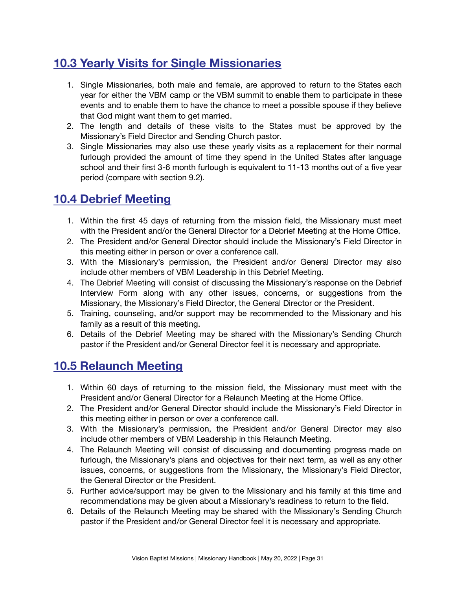# <span id="page-30-0"></span>**10.3 Yearly Visits for Single Missionaries**

- 1. Single Missionaries, both male and female, are approved to return to the States each year for either the VBM camp or the VBM summit to enable them to participate in these events and to enable them to have the chance to meet a possible spouse if they believe that God might want them to get married.
- 2. The length and details of these visits to the States must be approved by the Missionary's Field Director and Sending Church pastor.
- 3. Single Missionaries may also use these yearly visits as a replacement for their normal furlough provided the amount of time they spend in the United States after language school and their first 3-6 month furlough is equivalent to 11-13 months out of a five year period (compare with section 9.2).

## <span id="page-30-1"></span>**10.4 Debrief Meeting**

- 1. Within the first 45 days of returning from the mission field, the Missionary must meet with the President and/or the General Director for a Debrief Meeting at the Home Office.
- 2. The President and/or General Director should include the Missionary's Field Director in this meeting either in person or over a conference call.
- 3. With the Missionary's permission, the President and/or General Director may also include other members of VBM Leadership in this Debrief Meeting.
- 4. The Debrief Meeting will consist of discussing the Missionary's response on the Debrief Interview Form along with any other issues, concerns, or suggestions from the Missionary, the Missionary's Field Director, the General Director or the President.
- 5. Training, counseling, and/or support may be recommended to the Missionary and his family as a result of this meeting.
- 6. Details of the Debrief Meeting may be shared with the Missionary's Sending Church pastor if the President and/or General Director feel it is necessary and appropriate.

## <span id="page-30-2"></span>**10.5 Relaunch Meeting**

- 1. Within 60 days of returning to the mission field, the Missionary must meet with the President and/or General Director for a Relaunch Meeting at the Home Office.
- 2. The President and/or General Director should include the Missionary's Field Director in this meeting either in person or over a conference call.
- 3. With the Missionary's permission, the President and/or General Director may also include other members of VBM Leadership in this Relaunch Meeting.
- 4. The Relaunch Meeting will consist of discussing and documenting progress made on furlough, the Missionary's plans and objectives for their next term, as well as any other issues, concerns, or suggestions from the Missionary, the Missionary's Field Director, the General Director or the President.
- 5. Further advice/support may be given to the Missionary and his family at this time and recommendations may be given about a Missionary's readiness to return to the field.
- 6. Details of the Relaunch Meeting may be shared with the Missionary's Sending Church pastor if the President and/or General Director feel it is necessary and appropriate.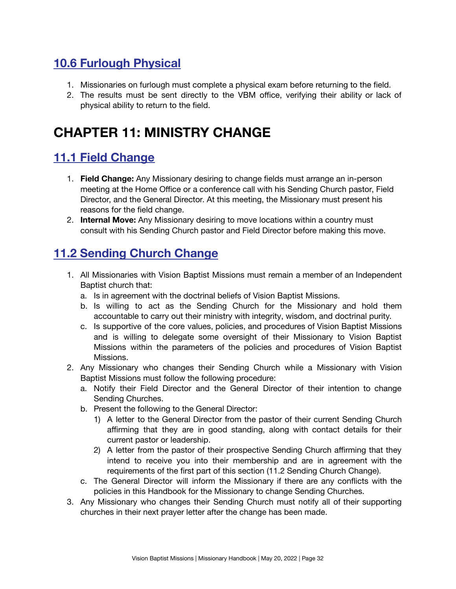# <span id="page-31-0"></span>**10.6 Furlough Physical**

- 1. Missionaries on furlough must complete a physical exam before returning to the field.
- 2. The results must be sent directly to the VBM office, verifying their ability or lack of physical ability to return to the field.

# <span id="page-31-1"></span>**CHAPTER 11: MINISTRY CHANGE**

## <span id="page-31-2"></span>**11.1 Field Change**

- 1. **Field Change:** Any Missionary desiring to change fields must arrange an in-person meeting at the Home Office or a conference call with his Sending Church pastor, Field Director, and the General Director. At this meeting, the Missionary must present his reasons for the field change.
- 2. **Internal Move:** Any Missionary desiring to move locations within a country must consult with his Sending Church pastor and Field Director before making this move.

## <span id="page-31-3"></span>**11.2 Sending Church Change**

- 1. All Missionaries with Vision Baptist Missions must remain a member of an Independent Baptist church that:
	- a. Is in agreement with the doctrinal beliefs of Vision Baptist Missions.
	- b. Is willing to act as the Sending Church for the Missionary and hold them accountable to carry out their ministry with integrity, wisdom, and doctrinal purity.
	- c. Is supportive of the core values, policies, and procedures of Vision Baptist Missions and is willing to delegate some oversight of their Missionary to Vision Baptist Missions within the parameters of the policies and procedures of Vision Baptist Missions.
- 2. Any Missionary who changes their Sending Church while a Missionary with Vision Baptist Missions must follow the following procedure:
	- a. Notify their Field Director and the General Director of their intention to change Sending Churches.
	- b. Present the following to the General Director:
		- 1) A letter to the General Director from the pastor of their current Sending Church affirming that they are in good standing, along with contact details for their current pastor or leadership.
		- 2) A letter from the pastor of their prospective Sending Church affirming that they intend to receive you into their membership and are in agreement with the requirements of the first part of this section (11.2 Sending Church Change).
	- c. The General Director will inform the Missionary if there are any conflicts with the policies in this Handbook for the Missionary to change Sending Churches.
- 3. Any Missionary who changes their Sending Church must notify all of their supporting churches in their next prayer letter after the change has been made.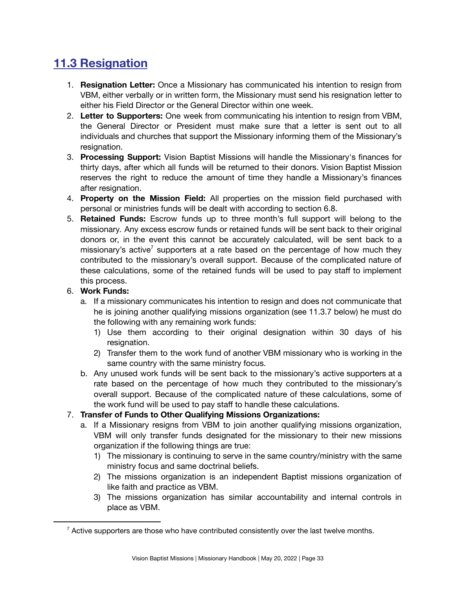# <span id="page-32-0"></span>**11.3 Resignation**

- 1. **Resignation Letter:** Once a Missionary has communicated his intention to resign from VBM, either verbally or in written form, the Missionary must send his resignation letter to either his Field Director or the General Director within one week.
- 2. **Letter to Supporters:** One week from communicating his intention to resign from VBM, the General Director or President must make sure that a letter is sent out to all individuals and churches that support the Missionary informing them of the Missionary's resignation.
- 3. **Processing Support:** Vision Baptist Missions will handle the Missionary's finances for thirty days, after which all funds will be returned to their donors. Vision Baptist Mission reserves the right to reduce the amount of time they handle a Missionary's finances after resignation.
- 4. **Property on the Mission Field:** All properties on the mission field purchased with personal or ministries funds will be dealt with according to section 6.8.
- 5. **Retained Funds:** Escrow funds up to three month's full support will belong to the missionary. Any excess escrow funds or retained funds will be sent back to their original donors or, in the event this cannot be accurately calculated, will be sent back to a missionary's active<sup>7</sup> supporters at a rate based on the percentage of how much they contributed to the missionary's overall support. Because of the complicated nature of these calculations, some of the retained funds will be used to pay staff to implement this process.

#### 6. **Work Funds:**

- a. If a missionary communicates his intention to resign and does not communicate that he is joining another qualifying missions organization (see 11.3.7 below) he must do the following with any remaining work funds:
	- 1) Use them according to their original designation within 30 days of his resignation.
	- 2) Transfer them to the work fund of another VBM missionary who is working in the same country with the same ministry focus.
- b. Any unused work funds will be sent back to the missionary's active supporters at a rate based on the percentage of how much they contributed to the missionary's overall support. Because of the complicated nature of these calculations, some of the work fund will be used to pay staff to handle these calculations.

#### 7. **Transfer of Funds to Other Qualifying Missions Organizations:**

- a. If a Missionary resigns from VBM to join another qualifying missions organization, VBM will only transfer funds designated for the missionary to their new missions organization if the following things are true:
	- 1) The missionary is continuing to serve in the same country/ministry with the same ministry focus and same doctrinal beliefs.
	- 2) The missions organization is an independent Baptist missions organization of like faith and practice as VBM.
	- 3) The missions organization has similar accountability and internal controls in place as VBM.

 $7$  Active supporters are those who have contributed consistently over the last twelve months.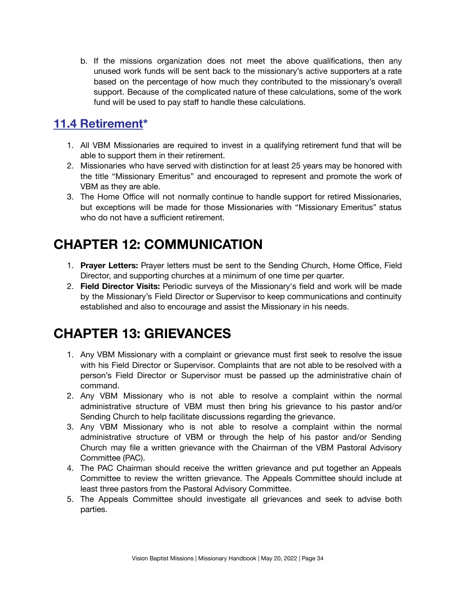b. If the missions organization does not meet the above qualifications, then any unused work funds will be sent back to the missionary's active supporters at a rate based on the percentage of how much they contributed to the missionary's overall support. Because of the complicated nature of these calculations, some of the work fund will be used to pay staff to handle these calculations.

## <span id="page-33-0"></span>**11.4 Retirement\***

- 1. All VBM Missionaries are required to invest in a qualifying retirement fund that will be able to support them in their retirement.
- 2. Missionaries who have served with distinction for at least 25 years may be honored with the title "Missionary Emeritus" and encouraged to represent and promote the work of VBM as they are able.
- 3. The Home Office will not normally continue to handle support for retired Missionaries, but exceptions will be made for those Missionaries with "Missionary Emeritus" status who do not have a sufficient retirement.

# <span id="page-33-1"></span>**CHAPTER 12: COMMUNICATION**

- 1. **Prayer Letters:** Prayer letters must be sent to the Sending Church, Home Office, Field Director, and supporting churches at a minimum of one time per quarter.
- 2. **Field Director Visits:** Periodic surveys of the Missionary's field and work will be made by the Missionary's Field Director or Supervisor to keep communications and continuity established and also to encourage and assist the Missionary in his needs.

# <span id="page-33-2"></span>**CHAPTER 13: GRIEVANCES**

- 1. Any VBM Missionary with a complaint or grievance must first seek to resolve the issue with his Field Director or Supervisor. Complaints that are not able to be resolved with a person's Field Director or Supervisor must be passed up the administrative chain of command.
- 2. Any VBM Missionary who is not able to resolve a complaint within the normal administrative structure of VBM must then bring his grievance to his pastor and/or Sending Church to help facilitate discussions regarding the grievance.
- 3. Any VBM Missionary who is not able to resolve a complaint within the normal administrative structure of VBM or through the help of his pastor and/or Sending Church may file a written grievance with the Chairman of the VBM Pastoral Advisory Committee (PAC).
- 4. The PAC Chairman should receive the written grievance and put together an Appeals Committee to review the written grievance. The Appeals Committee should include at least three pastors from the Pastoral Advisory Committee.
- 5. The Appeals Committee should investigate all grievances and seek to advise both parties.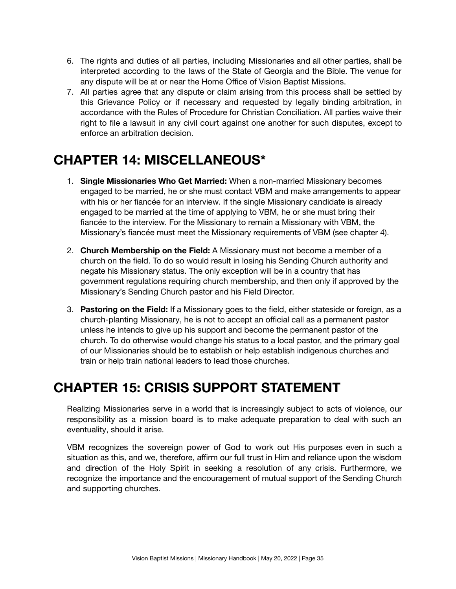- 6. The rights and duties of all parties, including Missionaries and all other parties, shall be interpreted according to the laws of the State of Georgia and the Bible. The venue for any dispute will be at or near the Home Office of Vision Baptist Missions.
- 7. All parties agree that any dispute or claim arising from this process shall be settled by this Grievance Policy or if necessary and requested by legally binding arbitration, in accordance with the Rules of Procedure for Christian Conciliation. All parties waive their right to file a lawsuit in any civil court against one another for such disputes, except to enforce an arbitration decision.

# <span id="page-34-0"></span>**CHAPTER 14: MISCELLANEOUS\***

- 1. **Single Missionaries Who Get Married:** When a non-married Missionary becomes engaged to be married, he or she must contact VBM and make arrangements to appear with his or her fiancée for an interview. If the single Missionary candidate is already engaged to be married at the time of applying to VBM, he or she must bring their fiancée to the interview. For the Missionary to remain a Missionary with VBM, the Missionary's fiancée must meet the Missionary requirements of VBM (see chapter 4).
- 2. **Church Membership on the Field:** A Missionary must not become a member of a church on the field. To do so would result in losing his Sending Church authority and negate his Missionary status. The only exception will be in a country that has government regulations requiring church membership, and then only if approved by the Missionary's Sending Church pastor and his Field Director.
- 3. **Pastoring on the Field:** If a Missionary goes to the field, either stateside or foreign, as a church-planting Missionary, he is not to accept an official call as a permanent pastor unless he intends to give up his support and become the permanent pastor of the church. To do otherwise would change his status to a local pastor, and the primary goal of our Missionaries should be to establish or help establish indigenous churches and train or help train national leaders to lead those churches.

# <span id="page-34-1"></span>**CHAPTER 15: CRISIS SUPPORT STATEMENT**

Realizing Missionaries serve in a world that is increasingly subject to acts of violence, our responsibility as a mission board is to make adequate preparation to deal with such an eventuality, should it arise.

VBM recognizes the sovereign power of God to work out His purposes even in such a situation as this, and we, therefore, affirm our full trust in Him and reliance upon the wisdom and direction of the Holy Spirit in seeking a resolution of any crisis. Furthermore, we recognize the importance and the encouragement of mutual support of the Sending Church and supporting churches.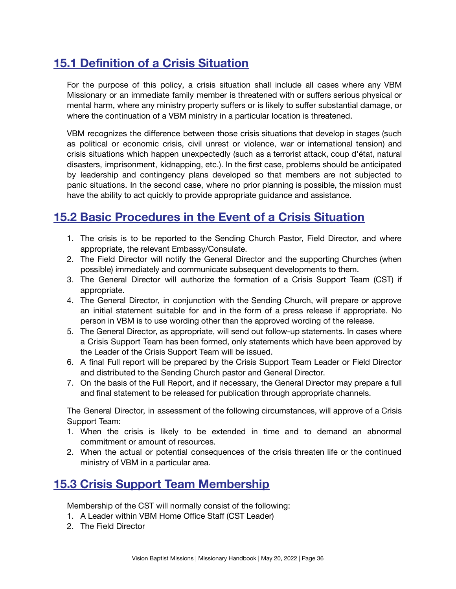# <span id="page-35-0"></span>**15.1 Definition of a Crisis Situation**

For the purpose of this policy, a crisis situation shall include all cases where any VBM Missionary or an immediate family member is threatened with or suffers serious physical or mental harm, where any ministry property suffers or is likely to suffer substantial damage, or where the continuation of a VBM ministry in a particular location is threatened.

VBM recognizes the difference between those crisis situations that develop in stages (such as political or economic crisis, civil unrest or violence, war or international tension) and crisis situations which happen unexpectedly (such as a terrorist attack, coup d'état, natural disasters, imprisonment, kidnapping, etc.). In the first case, problems should be anticipated by leadership and contingency plans developed so that members are not subjected to panic situations. In the second case, where no prior planning is possible, the mission must have the ability to act quickly to provide appropriate guidance and assistance.

### <span id="page-35-1"></span>**15.2 Basic Procedures in the Event of a Crisis Situation**

- 1. The crisis is to be reported to the Sending Church Pastor, Field Director, and where appropriate, the relevant Embassy/Consulate.
- 2. The Field Director will notify the General Director and the supporting Churches (when possible) immediately and communicate subsequent developments to them.
- 3. The General Director will authorize the formation of a Crisis Support Team (CST) if appropriate.
- 4. The General Director, in conjunction with the Sending Church, will prepare or approve an initial statement suitable for and in the form of a press release if appropriate. No person in VBM is to use wording other than the approved wording of the release.
- 5. The General Director, as appropriate, will send out follow-up statements. In cases where a Crisis Support Team has been formed, only statements which have been approved by the Leader of the Crisis Support Team will be issued.
- 6. A final Full report will be prepared by the Crisis Support Team Leader or Field Director and distributed to the Sending Church pastor and General Director.
- 7. On the basis of the Full Report, and if necessary, the General Director may prepare a full and final statement to be released for publication through appropriate channels.

The General Director, in assessment of the following circumstances, will approve of a Crisis Support Team:

- 1. When the crisis is likely to be extended in time and to demand an abnormal commitment or amount of resources.
- 2. When the actual or potential consequences of the crisis threaten life or the continued ministry of VBM in a particular area.

### <span id="page-35-2"></span>**15.3 Crisis Support Team Membership**

Membership of the CST will normally consist of the following:

- 1. A Leader within VBM Home Office Staff (CST Leader)
- 2. The Field Director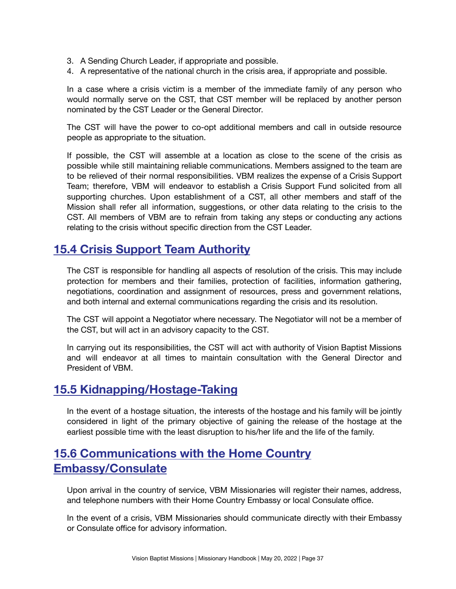- 3. A Sending Church Leader, if appropriate and possible.
- 4. A representative of the national church in the crisis area, if appropriate and possible.

In a case where a crisis victim is a member of the immediate family of any person who would normally serve on the CST, that CST member will be replaced by another person nominated by the CST Leader or the General Director.

The CST will have the power to co-opt additional members and call in outside resource people as appropriate to the situation.

If possible, the CST will assemble at a location as close to the scene of the crisis as possible while still maintaining reliable communications. Members assigned to the team are to be relieved of their normal responsibilities. VBM realizes the expense of a Crisis Support Team; therefore, VBM will endeavor to establish a Crisis Support Fund solicited from all supporting churches. Upon establishment of a CST, all other members and staff of the Mission shall refer all information, suggestions, or other data relating to the crisis to the CST. All members of VBM are to refrain from taking any steps or conducting any actions relating to the crisis without specific direction from the CST Leader.

### <span id="page-36-0"></span>**15.4 Crisis Support Team Authority**

The CST is responsible for handling all aspects of resolution of the crisis. This may include protection for members and their families, protection of facilities, information gathering, negotiations, coordination and assignment of resources, press and government relations, and both internal and external communications regarding the crisis and its resolution.

The CST will appoint a Negotiator where necessary. The Negotiator will not be a member of the CST, but will act in an advisory capacity to the CST.

In carrying out its responsibilities, the CST will act with authority of Vision Baptist Missions and will endeavor at all times to maintain consultation with the General Director and President of VBM.

### <span id="page-36-1"></span>**15.5 Kidnapping/Hostage-Taking**

In the event of a hostage situation, the interests of the hostage and his family will be jointly considered in light of the primary objective of gaining the release of the hostage at the earliest possible time with the least disruption to his/her life and the life of the family.

### <span id="page-36-2"></span>**15.6 Communications with the Home Country Embassy/Consulate**

Upon arrival in the country of service, VBM Missionaries will register their names, address, and telephone numbers with their Home Country Embassy or local Consulate office.

In the event of a crisis, VBM Missionaries should communicate directly with their Embassy or Consulate office for advisory information.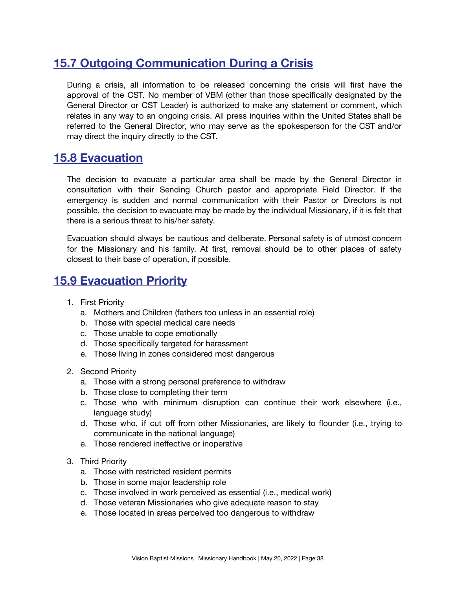# <span id="page-37-0"></span>**15.7 Outgoing Communication During a Crisis**

During a crisis, all information to be released concerning the crisis will first have the approval of the CST. No member of VBM (other than those specifically designated by the General Director or CST Leader) is authorized to make any statement or comment, which relates in any way to an ongoing crisis. All press inquiries within the United States shall be referred to the General Director, who may serve as the spokesperson for the CST and/or may direct the inquiry directly to the CST.

#### <span id="page-37-1"></span>**15.8 Evacuation**

The decision to evacuate a particular area shall be made by the General Director in consultation with their Sending Church pastor and appropriate Field Director. If the emergency is sudden and normal communication with their Pastor or Directors is not possible, the decision to evacuate may be made by the individual Missionary, if it is felt that there is a serious threat to his/her safety.

Evacuation should always be cautious and deliberate. Personal safety is of utmost concern for the Missionary and his family. At first, removal should be to other places of safety closest to their base of operation, if possible.

#### <span id="page-37-2"></span>**15.9 Evacuation Priority**

- 1. First Priority
	- a. Mothers and Children (fathers too unless in an essential role)
	- b. Those with special medical care needs
	- c. Those unable to cope emotionally
	- d. Those specifically targeted for harassment
	- e. Those living in zones considered most dangerous
- 2. Second Priority
	- a. Those with a strong personal preference to withdraw
	- b. Those close to completing their term
	- c. Those who with minimum disruption can continue their work elsewhere (i.e., language study)
	- d. Those who, if cut off from other Missionaries, are likely to flounder (i.e., trying to communicate in the national language)
	- e. Those rendered ineffective or inoperative
- 3. Third Priority
	- a. Those with restricted resident permits
	- b. Those in some major leadership role
	- c. Those involved in work perceived as essential (i.e., medical work)
	- d. Those veteran Missionaries who give adequate reason to stay
	- e. Those located in areas perceived too dangerous to withdraw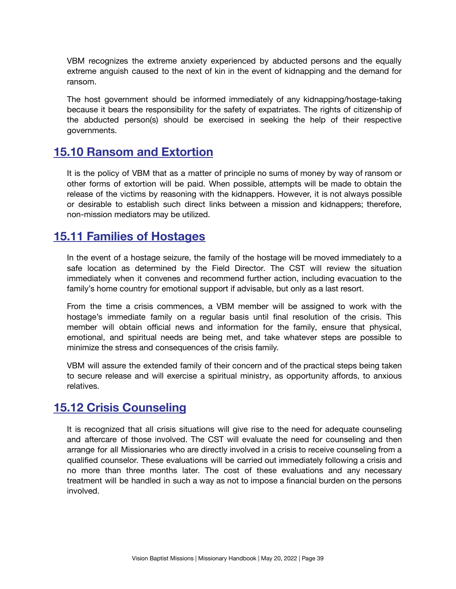VBM recognizes the extreme anxiety experienced by abducted persons and the equally extreme anguish caused to the next of kin in the event of kidnapping and the demand for ransom.

The host government should be informed immediately of any kidnapping/hostage-taking because it bears the responsibility for the safety of expatriates. The rights of citizenship of the abducted person(s) should be exercised in seeking the help of their respective governments.

#### <span id="page-38-0"></span>**15.10 Ransom and Extortion**

It is the policy of VBM that as a matter of principle no sums of money by way of ransom or other forms of extortion will be paid. When possible, attempts will be made to obtain the release of the victims by reasoning with the kidnappers. However, it is not always possible or desirable to establish such direct links between a mission and kidnappers; therefore, non-mission mediators may be utilized.

#### <span id="page-38-1"></span>**15.11 Families of Hostages**

In the event of a hostage seizure, the family of the hostage will be moved immediately to a safe location as determined by the Field Director. The CST will review the situation immediately when it convenes and recommend further action, including evacuation to the family's home country for emotional support if advisable, but only as a last resort.

From the time a crisis commences, a VBM member will be assigned to work with the hostage's immediate family on a regular basis until final resolution of the crisis. This member will obtain official news and information for the family, ensure that physical, emotional, and spiritual needs are being met, and take whatever steps are possible to minimize the stress and consequences of the crisis family.

VBM will assure the extended family of their concern and of the practical steps being taken to secure release and will exercise a spiritual ministry, as opportunity affords, to anxious relatives.

### <span id="page-38-2"></span>**15.12 Crisis Counseling**

It is recognized that all crisis situations will give rise to the need for adequate counseling and aftercare of those involved. The CST will evaluate the need for counseling and then arrange for all Missionaries who are directly involved in a crisis to receive counseling from a qualified counselor. These evaluations will be carried out immediately following a crisis and no more than three months later. The cost of these evaluations and any necessary treatment will be handled in such a way as not to impose a financial burden on the persons involved.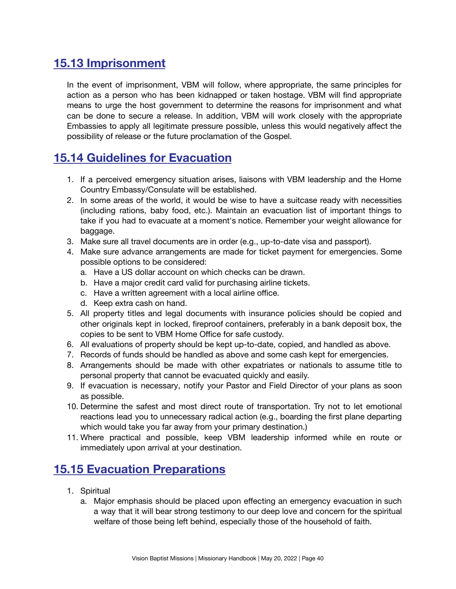# <span id="page-39-0"></span>**15.13 Imprisonment**

In the event of imprisonment, VBM will follow, where appropriate, the same principles for action as a person who has been kidnapped or taken hostage. VBM will find appropriate means to urge the host government to determine the reasons for imprisonment and what can be done to secure a release. In addition, VBM will work closely with the appropriate Embassies to apply all legitimate pressure possible, unless this would negatively affect the possibility of release or the future proclamation of the Gospel.

### <span id="page-39-1"></span>**15.14 Guidelines for Evacuation**

- 1. If a perceived emergency situation arises, liaisons with VBM leadership and the Home Country Embassy/Consulate will be established.
- 2. In some areas of the world, it would be wise to have a suitcase ready with necessities (including rations, baby food, etc.). Maintain an evacuation list of important things to take if you had to evacuate at a moment's notice. Remember your weight allowance for baggage.
- 3. Make sure all travel documents are in order (e.g., up-to-date visa and passport).
- 4. Make sure advance arrangements are made for ticket payment for emergencies. Some possible options to be considered:
	- a. Have a US dollar account on which checks can be drawn.
	- b. Have a major credit card valid for purchasing airline tickets.
	- c. Have a written agreement with a local airline office.
	- d. Keep extra cash on hand.
- 5. All property titles and legal documents with insurance policies should be copied and other originals kept in locked, fireproof containers, preferably in a bank deposit box, the copies to be sent to VBM Home Office for safe custody.
- 6. All evaluations of property should be kept up-to-date, copied, and handled as above.
- 7. Records of funds should be handled as above and some cash kept for emergencies.
- 8. Arrangements should be made with other expatriates or nationals to assume title to personal property that cannot be evacuated quickly and easily.
- 9. If evacuation is necessary, notify your Pastor and Field Director of your plans as soon as possible.
- 10. Determine the safest and most direct route of transportation. Try not to let emotional reactions lead you to unnecessary radical action (e.g., boarding the first plane departing which would take you far away from your primary destination.)
- 11. Where practical and possible, keep VBM leadership informed while en route or immediately upon arrival at your destination.

### <span id="page-39-2"></span>**15.15 Evacuation Preparations**

- 1. Spiritual
	- a. Major emphasis should be placed upon effecting an emergency evacuation in such a way that it will bear strong testimony to our deep love and concern for the spiritual welfare of those being left behind, especially those of the household of faith.